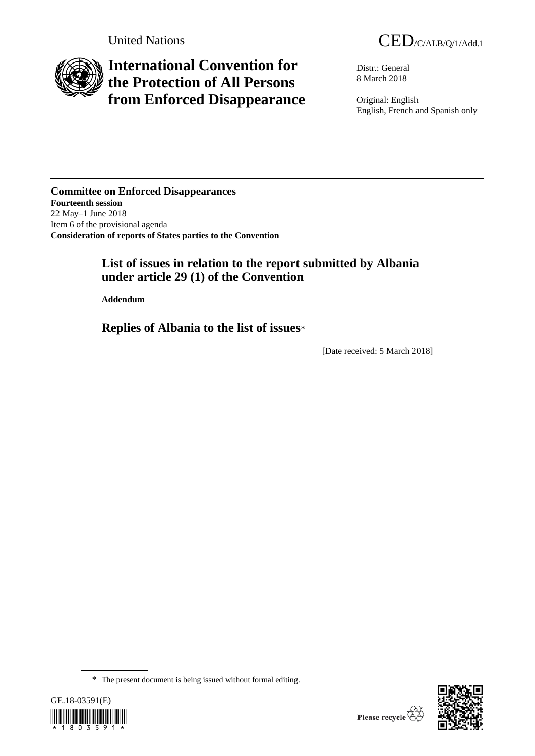

# **International Convention for the Protection of All Persons from Enforced Disappearance**

Distr.: General 8 March 2018

Original: English English, French and Spanish only

**Committee on Enforced Disappearances Fourteenth session** 22 May–1 June 2018 Item 6 of the provisional agenda **Consideration of reports of States parties to the Convention**

## **List of issues in relation to the report submitted by Albania under article 29 (1) of the Convention**

**Addendum**

**Replies of Albania to the list of issues**\*

[Date received: 5 March 2018]

<sup>\*</sup> The present document is being issued without formal editing.

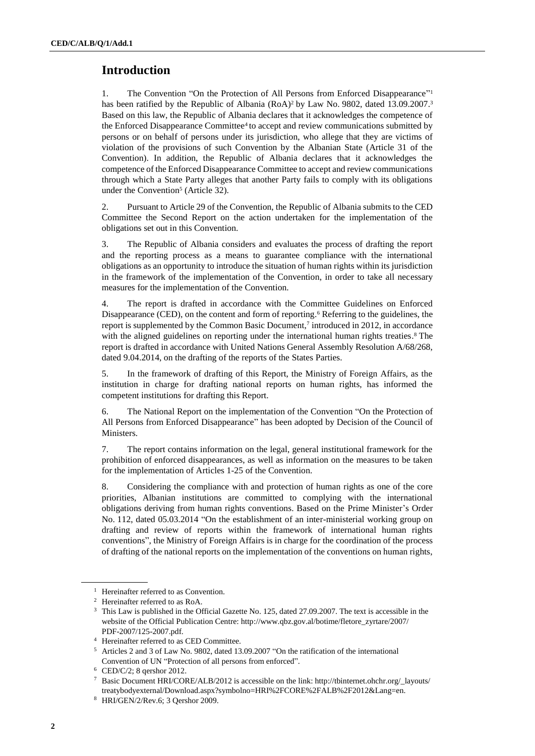## **Introduction**

1. The Convention "On the Protection of All Persons from Enforced Disappearance" 1 has been ratified by the Republic of Albania (RoA)<sup>2</sup> by Law No. 9802, dated 13.09.2007.<sup>3</sup> Based on this law, the Republic of Albania declares that it acknowledges the competence of the Enforced Disappearance Committee<sup>4</sup> to accept and review communications submitted by persons or on behalf of persons under its jurisdiction, who allege that they are victims of violation of the provisions of such Convention by the Albanian State (Article 31 of the Convention). In addition, the Republic of Albania declares that it acknowledges the competence of the Enforced Disappearance Committee to accept and review communications through which a State Party alleges that another Party fails to comply with its obligations under the Convention<sup>5</sup> (Article 32).

2. Pursuant to Article 29 of the Convention, the Republic of Albania submits to the CED Committee the Second Report on the action undertaken for the implementation of the obligations set out in this Convention.

3. The Republic of Albania considers and evaluates the process of drafting the report and the reporting process as a means to guarantee compliance with the international obligations as an opportunity to introduce the situation of human rights within its jurisdiction in the framework of the implementation of the Convention, in order to take all necessary measures for the implementation of the Convention.

4. The report is drafted in accordance with the Committee Guidelines on Enforced Disappearance (CED), on the content and form of reporting. <sup>6</sup> Referring to the guidelines, the report is supplemented by the Common Basic Document, 7 introduced in 2012, in accordance with the aligned guidelines on reporting under the international human rights treaties.<sup>8</sup> The report is drafted in accordance with United Nations General Assembly Resolution A/68/268, dated 9.04.2014, on the drafting of the reports of the States Parties.

5. In the framework of drafting of this Report, the Ministry of Foreign Affairs, as the institution in charge for drafting national reports on human rights, has informed the competent institutions for drafting this Report.

6. The National Report on the implementation of the Convention "On the Protection of All Persons from Enforced Disappearance" has been adopted by Decision of the Council of Ministers.

7. The report contains information on the legal, general institutional framework for the prohibition of enforced disappearances, as well as information on the measures to be taken for the implementation of Articles 1-25 of the Convention.

8. Considering the compliance with and protection of human rights as one of the core priorities, Albanian institutions are committed to complying with the international obligations deriving from human rights conventions. Based on the Prime Minister's Order No. 112, dated 05.03.2014 "On the establishment of an inter-ministerial working group on drafting and review of reports within the framework of international human rights conventions", the Ministry of Foreign Affairs is in charge for the coordination of the process of drafting of the national reports on the implementation of the conventions on human rights,

<sup>&</sup>lt;sup>1</sup> Hereinafter referred to as Convention.

<sup>2</sup> Hereinafter referred to as RoA.

<sup>3</sup> This Law is published in the Official Gazette No. 125, dated 27.09.2007. The text is accessible in the website of the Official Publication Centre: http://www.qbz.gov.al/botime/fletore\_zyrtare/2007/ PDF-2007/125-2007.pdf.

<sup>4</sup> Hereinafter referred to as CED Committee.

<sup>5</sup> Articles 2 and 3 of Law No. 9802, dated 13.09.2007 "On the ratification of the international Convention of UN "Protection of all persons from enforced".

<sup>6</sup> CED/C/2; 8 qershor 2012.

<sup>7</sup> Basic Document HRI/CORE/ALB/2012 is accessible on the link: http://tbinternet.ohchr.org/\_layouts/ treatybodyexternal/Download.aspx?symbolno=HRI%2FCORE%2FALB%2F2012&Lang=en.

<sup>8</sup> HRI/GEN/2/Rev.6; 3 Qershor 2009.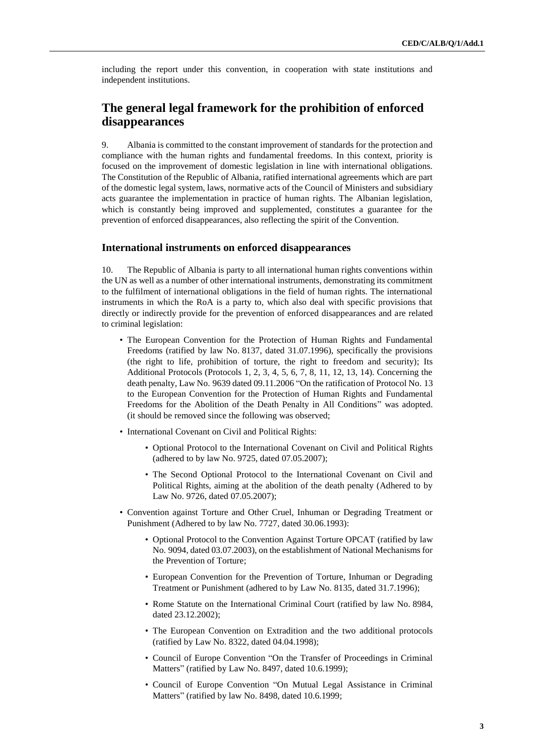including the report under this convention, in cooperation with state institutions and independent institutions.

## **The general legal framework for the prohibition of enforced disappearances**

9. Albania is committed to the constant improvement of standards for the protection and compliance with the human rights and fundamental freedoms. In this context, priority is focused on the improvement of domestic legislation in line with international obligations. The Constitution of the Republic of Albania, ratified international agreements which are part of the domestic legal system, laws, normative acts of the Council of Ministers and subsidiary acts guarantee the implementation in practice of human rights. The Albanian legislation, which is constantly being improved and supplemented, constitutes a guarantee for the prevention of enforced disappearances, also reflecting the spirit of the Convention.

#### **International instruments on enforced disappearances**

10. The Republic of Albania is party to all international human rights conventions within the UN as well as a number of other international instruments, demonstrating its commitment to the fulfilment of international obligations in the field of human rights. The international instruments in which the RoA is a party to, which also deal with specific provisions that directly or indirectly provide for the prevention of enforced disappearances and are related to criminal legislation:

- The European Convention for the Protection of Human Rights and Fundamental Freedoms (ratified by law No. 8137, dated 31.07.1996), specifically the provisions (the right to life, prohibition of torture, the right to freedom and security); Its Additional Protocols (Protocols 1, 2, 3, 4, 5, 6, 7, 8, 11, 12, 13, 14). Concerning the death penalty, Law No. 9639 dated 09.11.2006 "On the ratification of Protocol No. 13 to the European Convention for the Protection of Human Rights and Fundamental Freedoms for the Abolition of the Death Penalty in All Conditions" was adopted. (it should be removed since the following was observed;
- International Covenant on Civil and Political Rights:
	- Optional Protocol to the International Covenant on Civil and Political Rights (adhered to by law No. 9725, dated 07.05.2007);
	- The Second Optional Protocol to the International Covenant on Civil and Political Rights, aiming at the abolition of the death penalty (Adhered to by Law No. 9726, dated 07.05.2007);
- Convention against Torture and Other Cruel, Inhuman or Degrading Treatment or Punishment (Adhered to by law No. 7727, dated 30.06.1993):
	- Optional Protocol to the Convention Against Torture OPCAT (ratified by law No. 9094, dated 03.07.2003), on the establishment of National Mechanisms for the Prevention of Torture;
	- European Convention for the Prevention of Torture, Inhuman or Degrading Treatment or Punishment (adhered to by Law No. 8135, dated 31.7.1996);
	- Rome Statute on the International Criminal Court (ratified by law No. 8984, dated 23.12.2002);
	- The European Convention on Extradition and the two additional protocols (ratified by Law No. 8322, dated 04.04.1998);
	- Council of Europe Convention "On the Transfer of Proceedings in Criminal Matters" (ratified by Law No. 8497, dated 10.6.1999);
	- Council of Europe Convention "On Mutual Legal Assistance in Criminal Matters" (ratified by law No. 8498, dated 10.6.1999;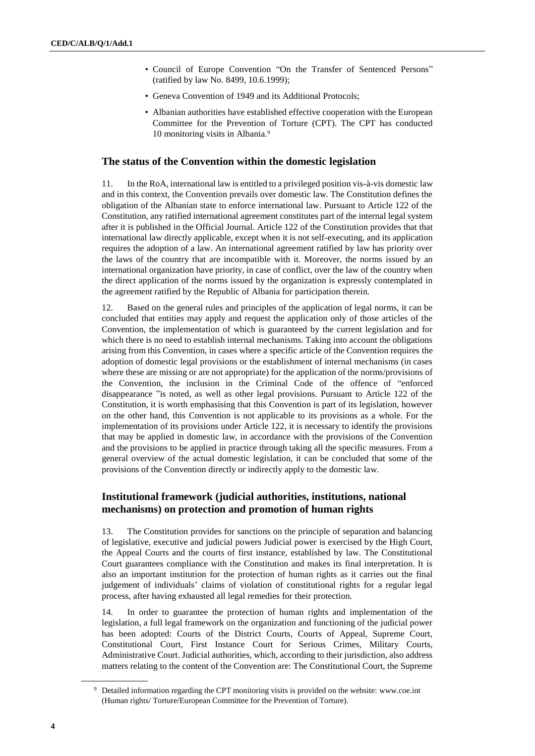- Council of Europe Convention "On the Transfer of Sentenced Persons" (ratified by law No. 8499, 10.6.1999);
- Geneva Convention of 1949 and its Additional Protocols;
- Albanian authorities have established effective cooperation with the European Committee for the Prevention of Torture (CPT). The CPT has conducted 10 monitoring visits in Albania. 9

## **The status of the Convention within the domestic legislation**

11. In the RoA, international law is entitled to a privileged position vis-à-vis domestic law and in this context, the Convention prevails over domestic law. The Constitution defines the obligation of the Albanian state to enforce international law. Pursuant to Article 122 of the Constitution, any ratified international agreement constitutes part of the internal legal system after it is published in the Official Journal. Article 122 of the Constitution provides that that international law directly applicable, except when it is not self-executing, and its application requires the adoption of a law. An international agreement ratified by law has priority over the laws of the country that are incompatible with it. Moreover, the norms issued by an international organization have priority, in case of conflict, over the law of the country when the direct application of the norms issued by the organization is expressly contemplated in the agreement ratified by the Republic of Albania for participation therein.

12. Based on the general rules and principles of the application of legal norms, it can be concluded that entities may apply and request the application only of those articles of the Convention, the implementation of which is guaranteed by the current legislation and for which there is no need to establish internal mechanisms. Taking into account the obligations arising from this Convention, in cases where a specific article of the Convention requires the adoption of domestic legal provisions or the establishment of internal mechanisms (in cases where these are missing or are not appropriate) for the application of the norms/provisions of the Convention, the inclusion in the Criminal Code of the offence of "enforced disappearance "is noted, as well as other legal provisions. Pursuant to Article 122 of the Constitution, it is worth emphasising that this Convention is part of its legislation, however on the other hand, this Convention is not applicable to its provisions as a whole. For the implementation of its provisions under Article 122, it is necessary to identify the provisions that may be applied in domestic law, in accordance with the provisions of the Convention and the provisions to be applied in practice through taking all the specific measures. From a general overview of the actual domestic legislation, it can be concluded that some of the provisions of the Convention directly or indirectly apply to the domestic law.

## **Institutional framework (judicial authorities, institutions, national mechanisms) on protection and promotion of human rights**

13. The Constitution provides for sanctions on the principle of separation and balancing of legislative, executive and judicial powers Judicial power is exercised by the High Court, the Appeal Courts and the courts of first instance, established by law. The Constitutional Court guarantees compliance with the Constitution and makes its final interpretation. It is also an important institution for the protection of human rights as it carries out the final judgement of individuals' claims of violation of constitutional rights for a regular legal process, after having exhausted all legal remedies for their protection.

14. In order to guarantee the protection of human rights and implementation of the legislation, a full legal framework on the organization and functioning of the judicial power has been adopted: Courts of the District Courts, Courts of Appeal, Supreme Court, Constitutional Court, First Instance Court for Serious Crimes, Military Courts, Administrative Court. Judicial authorities, which, according to their jurisdiction, also address matters relating to the content of the Convention are: The Constitutional Court, the Supreme

<sup>&</sup>lt;sup>9</sup> Detailed information regarding the CPT monitoring visits is provided on the website: [www.coe.int](http://www.coe.int/) (Human rights/ Torture/European Committee for the Prevention of Torture).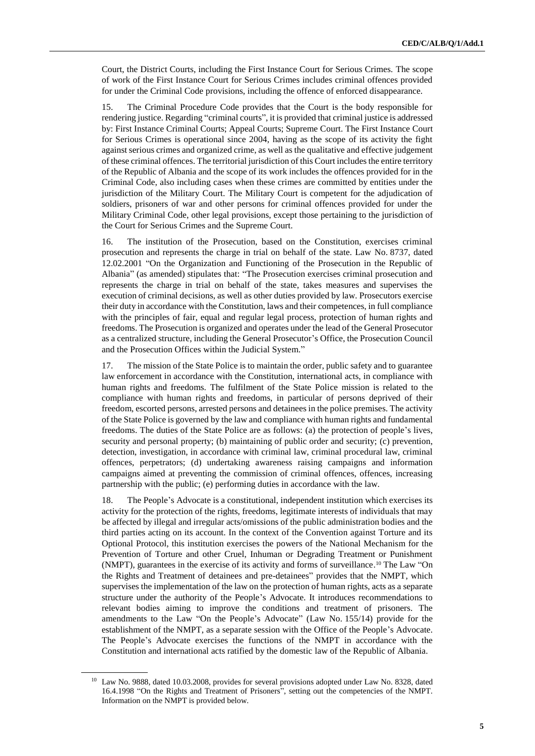Court, the District Courts, including the First Instance Court for Serious Crimes. The scope of work of the First Instance Court for Serious Crimes includes criminal offences provided for under the Criminal Code provisions, including the offence of enforced disappearance.

15. The Criminal Procedure Code provides that the Court is the body responsible for rendering justice. Regarding "criminal courts", it is provided that criminal justice is addressed by: First Instance Criminal Courts; Appeal Courts; Supreme Court. The First Instance Court for Serious Crimes is operational since 2004, having as the scope of its activity the fight against serious crimes and organized crime, as well as the qualitative and effective judgement of these criminal offences. The territorial jurisdiction of this Court includes the entire territory of the Republic of Albania and the scope of its work includes the offences provided for in the Criminal Code, also including cases when these crimes are committed by entities under the jurisdiction of the Military Court. The Military Court is competent for the adjudication of soldiers, prisoners of war and other persons for criminal offences provided for under the Military Criminal Code, other legal provisions, except those pertaining to the jurisdiction of the Court for Serious Crimes and the Supreme Court.

16. The institution of the Prosecution, based on the Constitution, exercises criminal prosecution and represents the charge in trial on behalf of the state. Law No. 8737, dated 12.02.2001 "On the Organization and Functioning of the Prosecution in the Republic of Albania" (as amended) stipulates that: "The Prosecution exercises criminal prosecution and represents the charge in trial on behalf of the state, takes measures and supervises the execution of criminal decisions, as well as other duties provided by law. Prosecutors exercise their duty in accordance with the Constitution, laws and their competences, in full compliance with the principles of fair, equal and regular legal process, protection of human rights and freedoms. The Prosecution is organized and operates under the lead of the General Prosecutor as a centralized structure, including the General Prosecutor's Office, the Prosecution Council and the Prosecution Offices within the Judicial System."

17. The mission of the State Police is to maintain the order, public safety and to guarantee law enforcement in accordance with the Constitution, international acts, in compliance with human rights and freedoms. The fulfilment of the State Police mission is related to the compliance with human rights and freedoms, in particular of persons deprived of their freedom, escorted persons, arrested persons and detainees in the police premises. The activity of the State Police is governed by the law and compliance with human rights and fundamental freedoms. The duties of the State Police are as follows: (a) the protection of people's lives, security and personal property; (b) maintaining of public order and security; (c) prevention, detection, investigation, in accordance with criminal law, criminal procedural law, criminal offences, perpetrators; (d) undertaking awareness raising campaigns and information campaigns aimed at preventing the commission of criminal offences, offences, increasing partnership with the public; (e) performing duties in accordance with the law.

18. The People's Advocate is a constitutional, independent institution which exercises its activity for the protection of the rights, freedoms, legitimate interests of individuals that may be affected by illegal and irregular acts/omissions of the public administration bodies and the third parties acting on its account. In the context of the Convention against Torture and its Optional Protocol, this institution exercises the powers of the National Mechanism for the Prevention of Torture and other Cruel, Inhuman or Degrading Treatment or Punishment (NMPT), guarantees in the exercise of its activity and forms of surveillance. <sup>10</sup> The Law "On the Rights and Treatment of detainees and pre-detainees" provides that the NMPT, which supervises the implementation of the law on the protection of human rights, acts as a separate structure under the authority of the People's Advocate. It introduces recommendations to relevant bodies aiming to improve the conditions and treatment of prisoners. The amendments to the Law "On the People's Advocate" (Law No. 155/14) provide for the establishment of the NMPT, as a separate session with the Office of the People's Advocate. The People's Advocate exercises the functions of the NMPT in accordance with the Constitution and international acts ratified by the domestic law of the Republic of Albania.

<sup>&</sup>lt;sup>10</sup> Law No. 9888, dated 10.03.2008, provides for several provisions adopted under Law No. 8328, dated 16.4.1998 "On the Rights and Treatment of Prisoners", setting out the competencies of the NMPT. Information on the NMPT is provided below.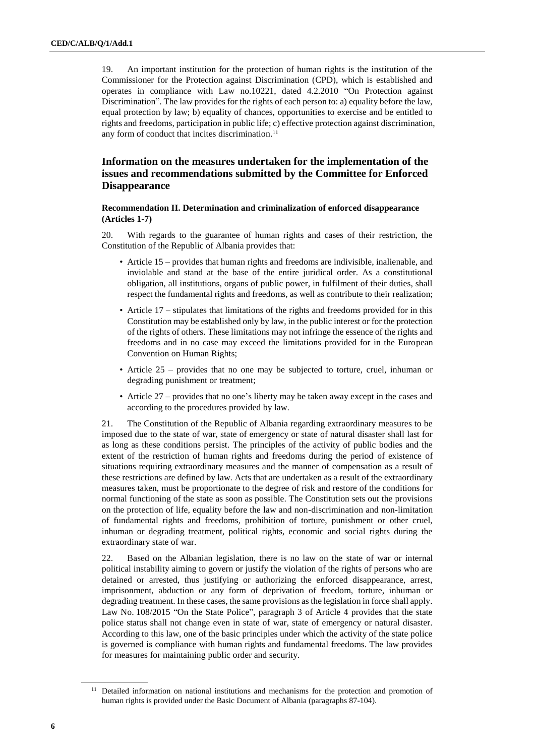19. An important institution for the protection of human rights is the institution of the Commissioner for the Protection against Discrimination (CPD), which is established and operates in compliance with Law no.10221, dated 4.2.2010 "On Protection against Discrimination". The law provides for the rights of each person to: a) equality before the law, equal protection by law; b) equality of chances, opportunities to exercise and be entitled to rights and freedoms, participation in public life; c) effective protection against discrimination, any form of conduct that incites discrimination. 11

## **Information on the measures undertaken for the implementation of the issues and recommendations submitted by the Committee for Enforced Disappearance**

#### **Recommendation II. Determination and criminalization of enforced disappearance (Articles 1-7)**

20. With regards to the guarantee of human rights and cases of their restriction, the Constitution of the Republic of Albania provides that:

- Article 15 provides that human rights and freedoms are indivisible, inalienable, and inviolable and stand at the base of the entire juridical order. As a constitutional obligation, all institutions, organs of public power, in fulfilment of their duties, shall respect the fundamental rights and freedoms, as well as contribute to their realization;
- Article 17 stipulates that limitations of the rights and freedoms provided for in this Constitution may be established only by law, in the public interest or for the protection of the rights of others. These limitations may not infringe the essence of the rights and freedoms and in no case may exceed the limitations provided for in the European Convention on Human Rights;
- Article 25 provides that no one may be subjected to torture, cruel, inhuman or degrading punishment or treatment;
- Article 27 provides that no one's liberty may be taken away except in the cases and according to the procedures provided by law.

21. The Constitution of the Republic of Albania regarding extraordinary measures to be imposed due to the state of war, state of emergency or state of natural disaster shall last for as long as these conditions persist. The principles of the activity of public bodies and the extent of the restriction of human rights and freedoms during the period of existence of situations requiring extraordinary measures and the manner of compensation as a result of these restrictions are defined by law. Acts that are undertaken as a result of the extraordinary measures taken, must be proportionate to the degree of risk and restore of the conditions for normal functioning of the state as soon as possible. The Constitution sets out the provisions on the protection of life, equality before the law and non-discrimination and non-limitation of fundamental rights and freedoms, prohibition of torture, punishment or other cruel, inhuman or degrading treatment, political rights, economic and social rights during the extraordinary state of war.

22. Based on the Albanian legislation, there is no law on the state of war or internal political instability aiming to govern or justify the violation of the rights of persons who are detained or arrested, thus justifying or authorizing the enforced disappearance, arrest, imprisonment, abduction or any form of deprivation of freedom, torture, inhuman or degrading treatment. In these cases, the same provisions as the legislation in force shall apply. Law No. 108/2015 "On the State Police", paragraph 3 of Article 4 provides that the state police status shall not change even in state of war, state of emergency or natural disaster. According to this law, one of the basic principles under which the activity of the state police is governed is compliance with human rights and fundamental freedoms. The law provides for measures for maintaining public order and security.

<sup>&</sup>lt;sup>11</sup> Detailed information on national institutions and mechanisms for the protection and promotion of human rights is provided under the Basic Document of Albania (paragraphs 87-104).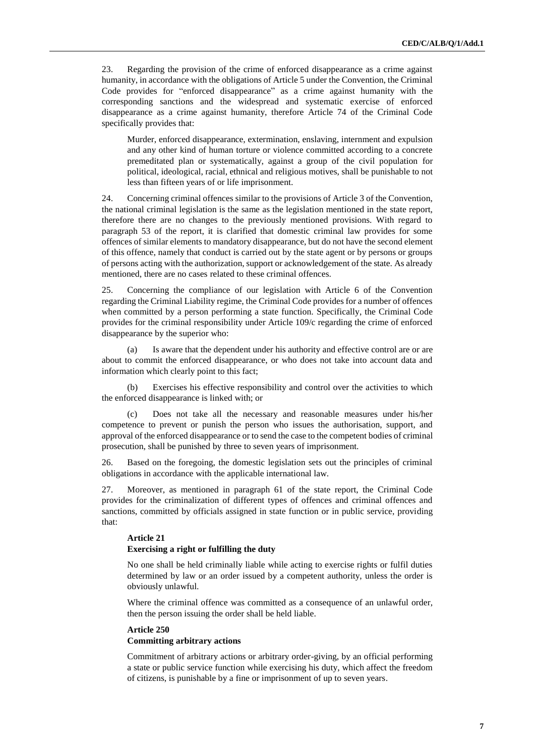23. Regarding the provision of the crime of enforced disappearance as a crime against humanity, in accordance with the obligations of Article 5 under the Convention, the Criminal Code provides for "enforced disappearance" as a crime against humanity with the corresponding sanctions and the widespread and systematic exercise of enforced disappearance as a crime against humanity, therefore Article 74 of the Criminal Code specifically provides that:

Murder, enforced disappearance, extermination, enslaving, internment and expulsion and any other kind of human torture or violence committed according to a concrete premeditated plan or systematically, against a group of the civil population for political, ideological, racial, ethnical and religious motives, shall be punishable to not less than fifteen years of or life imprisonment.

24. Concerning criminal offences similar to the provisions of Article 3 of the Convention, the national criminal legislation is the same as the legislation mentioned in the state report, therefore there are no changes to the previously mentioned provisions. With regard to paragraph 53 of the report, it is clarified that domestic criminal law provides for some offences of similar elements to mandatory disappearance, but do not have the second element of this offence, namely that conduct is carried out by the state agent or by persons or groups of persons acting with the authorization, support or acknowledgement of the state. As already mentioned, there are no cases related to these criminal offences.

25. Concerning the compliance of our legislation with Article 6 of the Convention regarding the Criminal Liability regime, the Criminal Code provides for a number of offences when committed by a person performing a state function. Specifically, the Criminal Code provides for the criminal responsibility under Article 109/c regarding the crime of enforced disappearance by the superior who:

Is aware that the dependent under his authority and effective control are or are about to commit the enforced disappearance, or who does not take into account data and information which clearly point to this fact;

(b) Exercises his effective responsibility and control over the activities to which the enforced disappearance is linked with; or

(c) Does not take all the necessary and reasonable measures under his/her competence to prevent or punish the person who issues the authorisation, support, and approval of the enforced disappearance or to send the case to the competent bodies of criminal prosecution, shall be punished by three to seven years of imprisonment.

26. Based on the foregoing, the domestic legislation sets out the principles of criminal obligations in accordance with the applicable international law.

27. Moreover, as mentioned in paragraph 61 of the state report, the Criminal Code provides for the criminalization of different types of offences and criminal offences and sanctions, committed by officials assigned in state function or in public service, providing that:

#### **Article 21**

#### **Exercising a right or fulfilling the duty**

No one shall be held criminally liable while acting to exercise rights or fulfil duties determined by law or an order issued by a competent authority, unless the order is obviously unlawful.

Where the criminal offence was committed as a consequence of an unlawful order, then the person issuing the order shall be held liable.

## **Article 250 Committing arbitrary actions**

Commitment of arbitrary actions or arbitrary order-giving, by an official performing a state or public service function while exercising his duty, which affect the freedom of citizens, is punishable by a fine or imprisonment of up to seven years.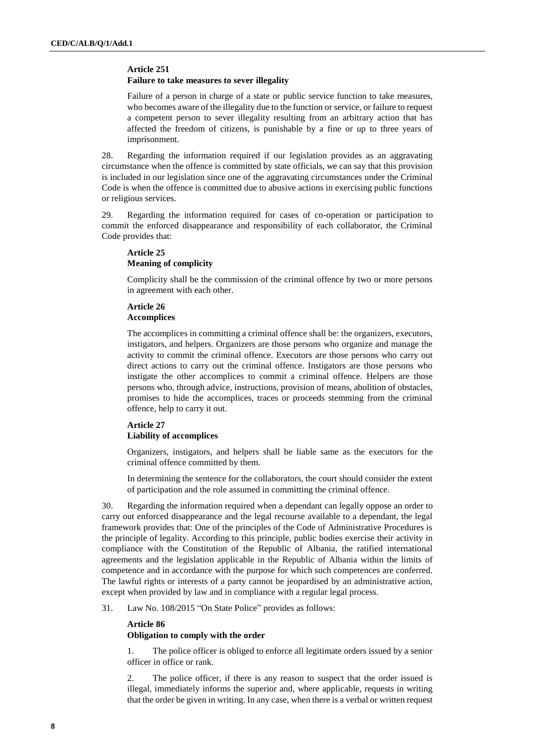## **Article 251**

#### **Failure to take measures to sever illegality**

Failure of a person in charge of a state or public service function to take measures, who becomes aware of the illegality due to the function or service, or failure to request a competent person to sever illegality resulting from an arbitrary action that has affected the freedom of citizens, is punishable by a fine or up to three years of imprisonment.

28. Regarding the information required if our legislation provides as an aggravating circumstance when the offence is committed by state officials, we can say that this provision is included in our legislation since one of the aggravating circumstances under the Criminal Code is when the offence is committed due to abusive actions in exercising public functions or religious services.

29. Regarding the information required for cases of co-operation or participation to commit the enforced disappearance and responsibility of each collaborator, the Criminal Code provides that:

### **Article 25 Meaning of complicity**

Complicity shall be the commission of the criminal offence by two or more persons in agreement with each other.

## **Article 26 Accomplices**

The accomplices in committing a criminal offence shall be: the organizers, executors, instigators, and helpers. Organizers are those persons who organize and manage the activity to commit the criminal offence. Executors are those persons who carry out direct actions to carry out the criminal offence. Instigators are those persons who instigate the other accomplices to commit a criminal offence. Helpers are those persons who, through advice, instructions, provision of means, abolition of obstacles, promises to hide the accomplices, traces or proceeds stemming from the criminal offence, help to carry it out.

#### **Article 27 Liability of accomplices**

Organizers, instigators, and helpers shall be liable same as the executors for the criminal offence committed by them.

In determining the sentence for the collaborators, the court should consider the extent of participation and the role assumed in committing the criminal offence.

30. Regarding the information required when a dependant can legally oppose an order to carry out enforced disappearance and the legal recourse available to a dependant, the legal framework provides that: One of the principles of the Code of Administrative Procedures is the principle of legality. According to this principle, public bodies exercise their activity in compliance with the Constitution of the Republic of Albania, the ratified international agreements and the legislation applicable in the Republic of Albania within the limits of competence and in accordance with the purpose for which such competences are conferred. The lawful rights or interests of a party cannot be jeopardised by an administrative action, except when provided by law and in compliance with a regular legal process.

31. Law No. 108/2015 "On State Police" provides as follows:

#### **Article 86**

#### **Obligation to comply with the order**

1. The police officer is obliged to enforce all legitimate orders issued by a senior officer in office or rank.

2. The police officer, if there is any reason to suspect that the order issued is illegal, immediately informs the superior and, where applicable, requests in writing that the order be given in writing. In any case, when there is a verbal or written request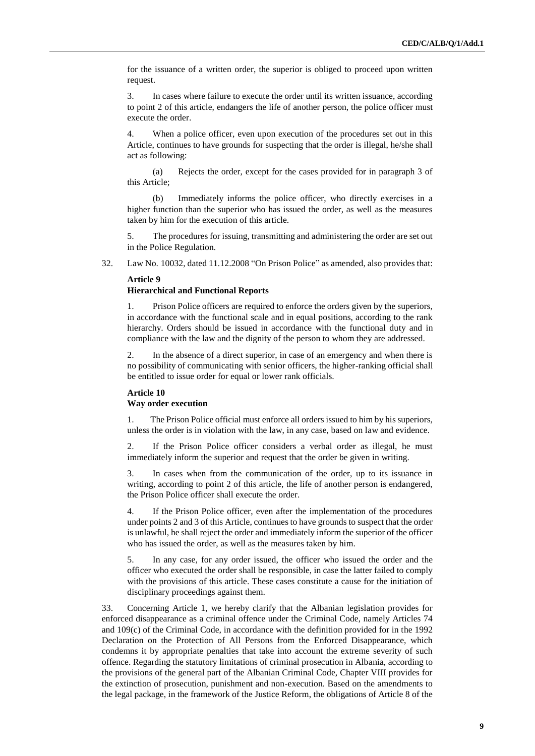for the issuance of a written order, the superior is obliged to proceed upon written request.

3. In cases where failure to execute the order until its written issuance, according to point 2 of this article, endangers the life of another person, the police officer must execute the order.

4. When a police officer, even upon execution of the procedures set out in this Article, continues to have grounds for suspecting that the order is illegal, he/she shall act as following:

(a) Rejects the order, except for the cases provided for in paragraph 3 of this Article;

(b) Immediately informs the police officer, who directly exercises in a higher function than the superior who has issued the order, as well as the measures taken by him for the execution of this article.

5. The procedures for issuing, transmitting and administering the order are set out in the Police Regulation.

32. Law No. 10032, dated 11.12.2008 "On Prison Police" as amended, also provides that:

#### **Article 9**

## **Hierarchical and Functional Reports**

1. Prison Police officers are required to enforce the orders given by the superiors, in accordance with the functional scale and in equal positions, according to the rank hierarchy. Orders should be issued in accordance with the functional duty and in compliance with the law and the dignity of the person to whom they are addressed.

In the absence of a direct superior, in case of an emergency and when there is no possibility of communicating with senior officers, the higher-ranking official shall be entitled to issue order for equal or lower rank officials.

#### **Article 10**

#### **Way order execution**

1. The Prison Police official must enforce all orders issued to him by his superiors, unless the order is in violation with the law, in any case, based on law and evidence.

2. If the Prison Police officer considers a verbal order as illegal, he must immediately inform the superior and request that the order be given in writing.

3. In cases when from the communication of the order, up to its issuance in writing, according to point 2 of this article, the life of another person is endangered, the Prison Police officer shall execute the order.

4. If the Prison Police officer, even after the implementation of the procedures under points 2 and 3 of this Article, continues to have grounds to suspect that the order is unlawful, he shall reject the order and immediately inform the superior of the officer who has issued the order, as well as the measures taken by him.

5. In any case, for any order issued, the officer who issued the order and the officer who executed the order shall be responsible, in case the latter failed to comply with the provisions of this article. These cases constitute a cause for the initiation of disciplinary proceedings against them.

33. Concerning Article 1, we hereby clarify that the Albanian legislation provides for enforced disappearance as a criminal offence under the Criminal Code, namely Articles 74 and 109(c) of the Criminal Code, in accordance with the definition provided for in the 1992 Declaration on the Protection of All Persons from the Enforced Disappearance, which condemns it by appropriate penalties that take into account the extreme severity of such offence. Regarding the statutory limitations of criminal prosecution in Albania, according to the provisions of the general part of the Albanian Criminal Code, Chapter VIII provides for the extinction of prosecution, punishment and non-execution. Based on the amendments to the legal package, in the framework of the Justice Reform, the obligations of Article 8 of the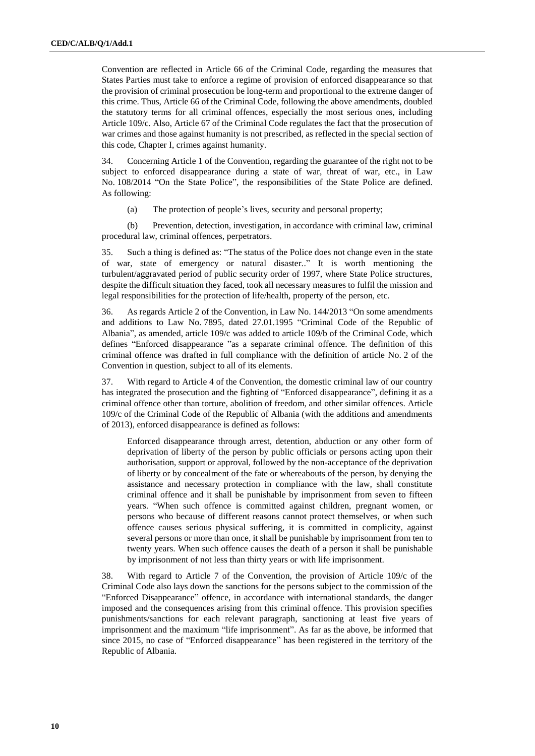Convention are reflected in Article 66 of the Criminal Code, regarding the measures that States Parties must take to enforce a regime of provision of enforced disappearance so that the provision of criminal prosecution be long-term and proportional to the extreme danger of this crime. Thus, Article 66 of the Criminal Code, following the above amendments, doubled the statutory terms for all criminal offences, especially the most serious ones, including Article 109/c. Also, Article 67 of the Criminal Code regulates the fact that the prosecution of war crimes and those against humanity is not prescribed, as reflected in the special section of this code, Chapter I, crimes against humanity.

34. Concerning Article 1 of the Convention, regarding the guarantee of the right not to be subject to enforced disappearance during a state of war, threat of war, etc., in Law No. 108/2014 "On the State Police", the responsibilities of the State Police are defined. As following:

(a) The protection of people's lives, security and personal property;

(b) Prevention, detection, investigation, in accordance with criminal law, criminal procedural law, criminal offences, perpetrators.

35. Such a thing is defined as: "The status of the Police does not change even in the state of war, state of emergency or natural disaster.." It is worth mentioning the turbulent/aggravated period of public security order of 1997, where State Police structures, despite the difficult situation they faced, took all necessary measures to fulfil the mission and legal responsibilities for the protection of life/health, property of the person, etc.

36. As regards Article 2 of the Convention, in Law No. 144/2013 "On some amendments and additions to Law No. 7895, dated 27.01.1995 "Criminal Code of the Republic of Albania", as amended, article 109/c was added to article 109/b of the Criminal Code, which defines "Enforced disappearance "as a separate criminal offence. The definition of this criminal offence was drafted in full compliance with the definition of article No. 2 of the Convention in question, subject to all of its elements.

37. With regard to Article 4 of the Convention, the domestic criminal law of our country has integrated the prosecution and the fighting of "Enforced disappearance", defining it as a criminal offence other than torture, abolition of freedom, and other similar offences. Article 109/c of the Criminal Code of the Republic of Albania (with the additions and amendments of 2013), enforced disappearance is defined as follows:

Enforced disappearance through arrest, detention, abduction or any other form of deprivation of liberty of the person by public officials or persons acting upon their authorisation, support or approval, followed by the non-acceptance of the deprivation of liberty or by concealment of the fate or whereabouts of the person, by denying the assistance and necessary protection in compliance with the law, shall constitute criminal offence and it shall be punishable by imprisonment from seven to fifteen years. "When such offence is committed against children, pregnant women, or persons who because of different reasons cannot protect themselves, or when such offence causes serious physical suffering, it is committed in complicity, against several persons or more than once, it shall be punishable by imprisonment from ten to twenty years. When such offence causes the death of a person it shall be punishable by imprisonment of not less than thirty years or with life imprisonment.

38. With regard to Article 7 of the Convention, the provision of Article 109/c of the Criminal Code also lays down the sanctions for the persons subject to the commission of the "Enforced Disappearance" offence, in accordance with international standards, the danger imposed and the consequences arising from this criminal offence. This provision specifies punishments/sanctions for each relevant paragraph, sanctioning at least five years of imprisonment and the maximum "life imprisonment". As far as the above, be informed that since 2015, no case of "Enforced disappearance" has been registered in the territory of the Republic of Albania.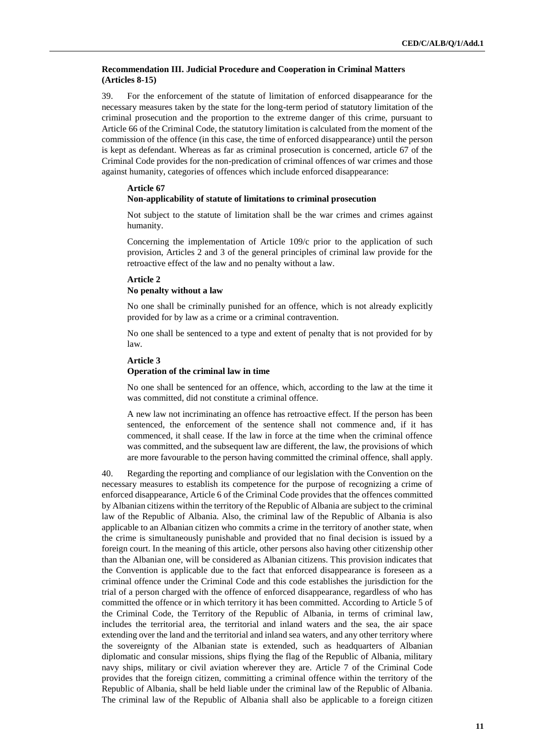#### **Recommendation III. Judicial Procedure and Cooperation in Criminal Matters (Articles 8-15)**

39. For the enforcement of the statute of limitation of enforced disappearance for the necessary measures taken by the state for the long-term period of statutory limitation of the criminal prosecution and the proportion to the extreme danger of this crime, pursuant to Article 66 of the Criminal Code, the statutory limitation is calculated from the moment of the commission of the offence (in this case, the time of enforced disappearance) until the person is kept as defendant. Whereas as far as criminal prosecution is concerned, article 67 of the Criminal Code provides for the non-predication of criminal offences of war crimes and those against humanity, categories of offences which include enforced disappearance:

#### **Article 67 Non-applicability of statute of limitations to criminal prosecution**

Not subject to the statute of limitation shall be the war crimes and crimes against humanity.

Concerning the implementation of Article 109/c prior to the application of such provision, Articles 2 and 3 of the general principles of criminal law provide for the retroactive effect of the law and no penalty without a law.

#### **Article 2 No penalty without a law**

No one shall be criminally punished for an offence, which is not already explicitly provided for by law as a crime or a criminal contravention.

No one shall be sentenced to a type and extent of penalty that is not provided for by law.

#### **Article 3**

#### **Operation of the criminal law in time**

No one shall be sentenced for an offence, which, according to the law at the time it was committed, did not constitute a criminal offence.

A new law not incriminating an offence has retroactive effect. If the person has been sentenced, the enforcement of the sentence shall not commence and, if it has commenced, it shall cease. If the law in force at the time when the criminal offence was committed, and the subsequent law are different, the law, the provisions of which are more favourable to the person having committed the criminal offence, shall apply.

40. Regarding the reporting and compliance of our legislation with the Convention on the necessary measures to establish its competence for the purpose of recognizing a crime of enforced disappearance, Article 6 of the Criminal Code provides that the offences committed by Albanian citizens within the territory of the Republic of Albania are subject to the criminal law of the Republic of Albania. Also, the criminal law of the Republic of Albania is also applicable to an Albanian citizen who commits a crime in the territory of another state, when the crime is simultaneously punishable and provided that no final decision is issued by a foreign court. In the meaning of this article, other persons also having other citizenship other than the Albanian one, will be considered as Albanian citizens. This provision indicates that the Convention is applicable due to the fact that enforced disappearance is foreseen as a criminal offence under the Criminal Code and this code establishes the jurisdiction for the trial of a person charged with the offence of enforced disappearance, regardless of who has committed the offence or in which territory it has been committed. According to Article 5 of the Criminal Code, the Territory of the Republic of Albania, in terms of criminal law, includes the territorial area, the territorial and inland waters and the sea, the air space extending over the land and the territorial and inland sea waters, and any other territory where the sovereignty of the Albanian state is extended, such as headquarters of Albanian diplomatic and consular missions, ships flying the flag of the Republic of Albania, military navy ships, military or civil aviation wherever they are. Article 7 of the Criminal Code provides that the foreign citizen, committing a criminal offence within the territory of the Republic of Albania, shall be held liable under the criminal law of the Republic of Albania. The criminal law of the Republic of Albania shall also be applicable to a foreign citizen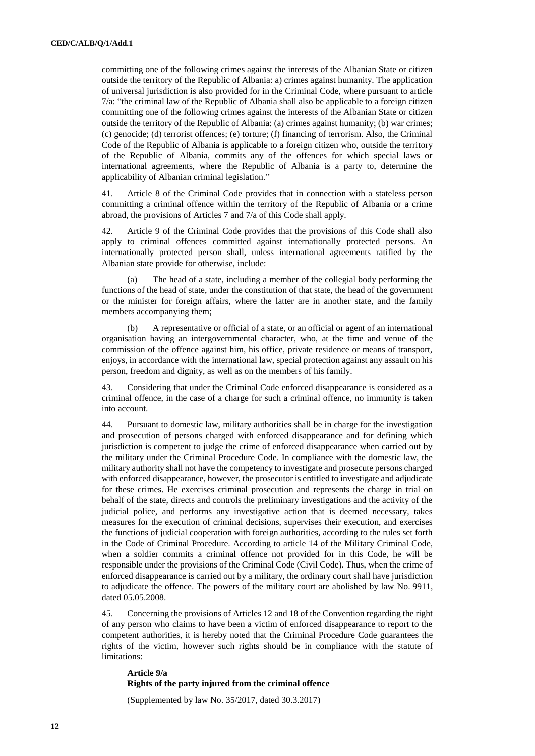committing one of the following crimes against the interests of the Albanian State or citizen outside the territory of the Republic of Albania: a) crimes against humanity. The application of universal jurisdiction is also provided for in the Criminal Code, where pursuant to article 7/a: "the criminal law of the Republic of Albania shall also be applicable to a foreign citizen committing one of the following crimes against the interests of the Albanian State or citizen outside the territory of the Republic of Albania: (a) crimes against humanity; (b) war crimes; (c) genocide; (d) terrorist offences; (e) torture; (f) financing of terrorism. Also, the Criminal Code of the Republic of Albania is applicable to a foreign citizen who, outside the territory of the Republic of Albania, commits any of the offences for which special laws or international agreements, where the Republic of Albania is a party to, determine the applicability of Albanian criminal legislation."

41. Article 8 of the Criminal Code provides that in connection with a stateless person committing a criminal offence within the territory of the Republic of Albania or a crime abroad, the provisions of Articles 7 and 7/a of this Code shall apply.

42. Article 9 of the Criminal Code provides that the provisions of this Code shall also apply to criminal offences committed against internationally protected persons. An internationally protected person shall, unless international agreements ratified by the Albanian state provide for otherwise, include:

The head of a state, including a member of the collegial body performing the functions of the head of state, under the constitution of that state, the head of the government or the minister for foreign affairs, where the latter are in another state, and the family members accompanying them;

(b) A representative or official of a state, or an official or agent of an international organisation having an intergovernmental character, who, at the time and venue of the commission of the offence against him, his office, private residence or means of transport, enjoys, in accordance with the international law, special protection against any assault on his person, freedom and dignity, as well as on the members of his family.

43. Considering that under the Criminal Code enforced disappearance is considered as a criminal offence, in the case of a charge for such a criminal offence, no immunity is taken into account.

44. Pursuant to domestic law, military authorities shall be in charge for the investigation and prosecution of persons charged with enforced disappearance and for defining which jurisdiction is competent to judge the crime of enforced disappearance when carried out by the military under the Criminal Procedure Code. In compliance with the domestic law, the military authority shall not have the competency to investigate and prosecute persons charged with enforced disappearance, however, the prosecutor is entitled to investigate and adjudicate for these crimes. He exercises criminal prosecution and represents the charge in trial on behalf of the state, directs and controls the preliminary investigations and the activity of the judicial police, and performs any investigative action that is deemed necessary, takes measures for the execution of criminal decisions, supervises their execution, and exercises the functions of judicial cooperation with foreign authorities, according to the rules set forth in the Code of Criminal Procedure. According to article 14 of the Military Criminal Code, when a soldier commits a criminal offence not provided for in this Code, he will be responsible under the provisions of the Criminal Code (Civil Code). Thus, when the crime of enforced disappearance is carried out by a military, the ordinary court shall have jurisdiction to adjudicate the offence. The powers of the military court are abolished by law No. 9911, dated 05.05.2008.

45. Concerning the provisions of Articles 12 and 18 of the Convention regarding the right of any person who claims to have been a victim of enforced disappearance to report to the competent authorities, it is hereby noted that the Criminal Procedure Code guarantees the rights of the victim, however such rights should be in compliance with the statute of limitations:

**Article 9/a Rights of the party injured from the criminal offence**

(Supplemented by law No. 35/2017, dated 30.3.2017)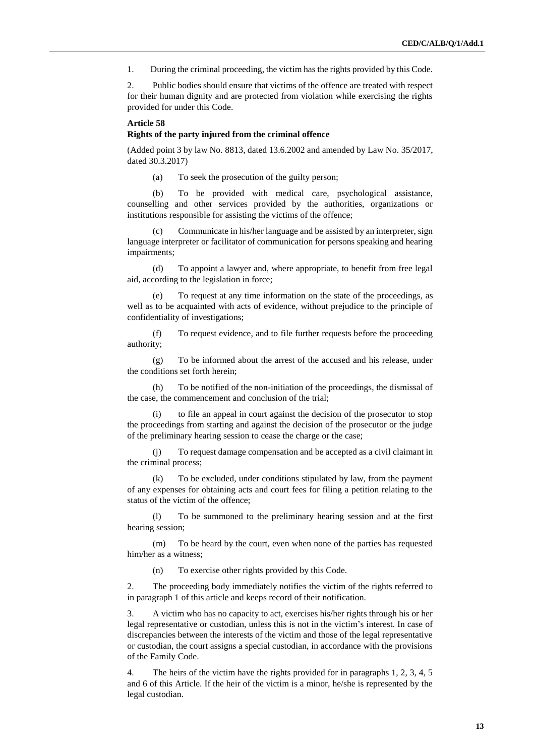1. During the criminal proceeding, the victim has the rights provided by this Code.

2. Public bodies should ensure that victims of the offence are treated with respect for their human dignity and are protected from violation while exercising the rights provided for under this Code.

#### **Article 58**

#### **Rights of the party injured from the criminal offence**

(Added point 3 by law No. 8813, dated 13.6.2002 and amended by Law No. 35/2017, dated 30.3.2017)

(a) To seek the prosecution of the guilty person;

(b) To be provided with medical care, psychological assistance, counselling and other services provided by the authorities, organizations or institutions responsible for assisting the victims of the offence;

Communicate in his/her language and be assisted by an interpreter, sign language interpreter or facilitator of communication for persons speaking and hearing impairments;

(d) To appoint a lawyer and, where appropriate, to benefit from free legal aid, according to the legislation in force;

(e) To request at any time information on the state of the proceedings, as well as to be acquainted with acts of evidence, without prejudice to the principle of confidentiality of investigations;

(f) To request evidence, and to file further requests before the proceeding authority;

(g) To be informed about the arrest of the accused and his release, under the conditions set forth herein;

(h) To be notified of the non-initiation of the proceedings, the dismissal of the case, the commencement and conclusion of the trial;

(i) to file an appeal in court against the decision of the prosecutor to stop the proceedings from starting and against the decision of the prosecutor or the judge of the preliminary hearing session to cease the charge or the case;

(j) To request damage compensation and be accepted as a civil claimant in the criminal process;

(k) To be excluded, under conditions stipulated by law, from the payment of any expenses for obtaining acts and court fees for filing a petition relating to the status of the victim of the offence;

(l) To be summoned to the preliminary hearing session and at the first hearing session;

(m) To be heard by the court, even when none of the parties has requested him/her as a witness;

(n) To exercise other rights provided by this Code.

2. The proceeding body immediately notifies the victim of the rights referred to in paragraph 1 of this article and keeps record of their notification.

3. A victim who has no capacity to act, exercises his/her rights through his or her legal representative or custodian, unless this is not in the victim's interest. In case of discrepancies between the interests of the victim and those of the legal representative or custodian, the court assigns a special custodian, in accordance with the provisions of the Family Code.

4. The heirs of the victim have the rights provided for in paragraphs 1, 2, 3, 4, 5 and 6 of this Article. If the heir of the victim is a minor, he/she is represented by the legal custodian.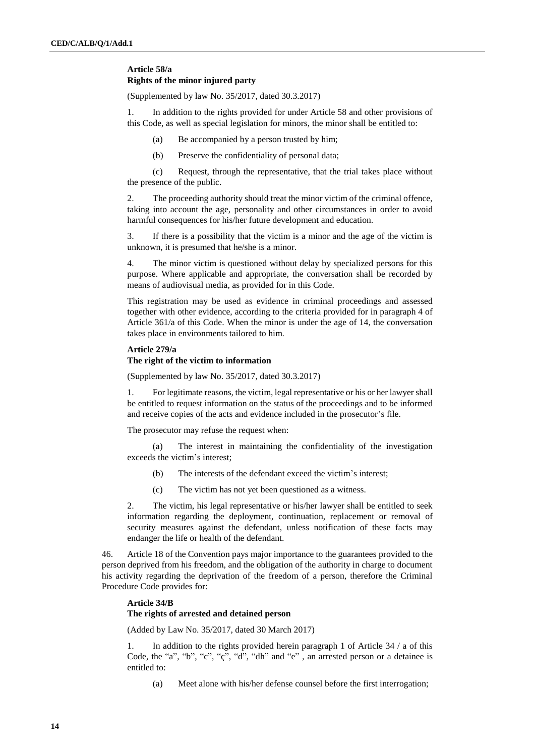## **Article 58/a Rights of the minor injured party**

(Supplemented by law No. 35/2017, dated 30.3.2017)

1. In addition to the rights provided for under Article 58 and other provisions of this Code, as well as special legislation for minors, the minor shall be entitled to:

- (a) Be accompanied by a person trusted by him;
- (b) Preserve the confidentiality of personal data;

(c) Request, through the representative, that the trial takes place without the presence of the public.

2. The proceeding authority should treat the minor victim of the criminal offence, taking into account the age, personality and other circumstances in order to avoid harmful consequences for his/her future development and education.

3. If there is a possibility that the victim is a minor and the age of the victim is unknown, it is presumed that he/she is a minor.

4. The minor victim is questioned without delay by specialized persons for this purpose. Where applicable and appropriate, the conversation shall be recorded by means of audiovisual media, as provided for in this Code.

This registration may be used as evidence in criminal proceedings and assessed together with other evidence, according to the criteria provided for in paragraph 4 of Article 361/a of this Code. When the minor is under the age of 14, the conversation takes place in environments tailored to him.

#### **Article 279/a**

#### **The right of the victim to information**

(Supplemented by law No. 35/2017, dated 30.3.2017)

1. For legitimate reasons, the victim, legal representative or his or her lawyer shall be entitled to request information on the status of the proceedings and to be informed and receive copies of the acts and evidence included in the prosecutor's file.

The prosecutor may refuse the request when:

(a) The interest in maintaining the confidentiality of the investigation exceeds the victim's interest;

- (b) The interests of the defendant exceed the victim's interest;
- (c) The victim has not yet been questioned as a witness.

2. The victim, his legal representative or his/her lawyer shall be entitled to seek information regarding the deployment, continuation, replacement or removal of security measures against the defendant, unless notification of these facts may endanger the life or health of the defendant.

46. Article 18 of the Convention pays major importance to the guarantees provided to the person deprived from his freedom, and the obligation of the authority in charge to document his activity regarding the deprivation of the freedom of a person, therefore the Criminal Procedure Code provides for:

## **Article 34/B**

## **The rights of arrested and detained person**

(Added by Law No. 35/2017, dated 30 March 2017)

1. In addition to the rights provided herein paragraph 1 of Article 34 / a of this Code, the "a", "b", "c", "ç", "d", "dh" and "e" , an arrested person or a detainee is entitled to:

(a) Meet alone with his/her defense counsel before the first interrogation;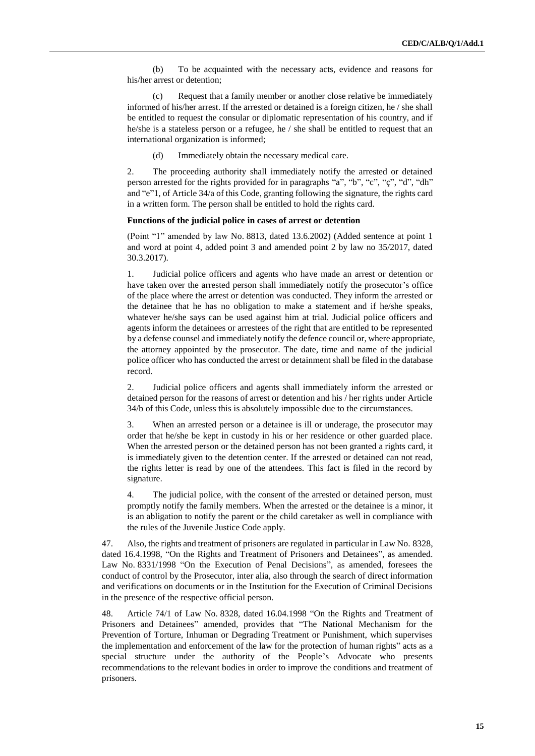(b) To be acquainted with the necessary acts, evidence and reasons for his/her arrest or detention;

(c) Request that a family member or another close relative be immediately informed of his/her arrest. If the arrested or detained is a foreign citizen, he / she shall be entitled to request the consular or diplomatic representation of his country, and if he/she is a stateless person or a refugee, he / she shall be entitled to request that an international organization is informed;

(d) Immediately obtain the necessary medical care.

2. The proceeding authority shall immediately notify the arrested or detained person arrested for the rights provided for in paragraphs "a", "b", "c", "ç", "d", "dh" and "e"1, of Article 34/a of this Code, granting following the signature, the rights card in a written form. The person shall be entitled to hold the rights card.

#### **Functions of the judicial police in cases of arrest or detention**

(Point "1" amended by law No. 8813, dated 13.6.2002) (Added sentence at point 1 and word at point 4, added point 3 and amended point 2 by law no 35/2017, dated 30.3.2017).

1. Judicial police officers and agents who have made an arrest or detention or have taken over the arrested person shall immediately notify the prosecutor's office of the place where the arrest or detention was conducted. They inform the arrested or the detainee that he has no obligation to make a statement and if he/she speaks, whatever he/she says can be used against him at trial. Judicial police officers and agents inform the detainees or arrestees of the right that are entitled to be represented by a defense counsel and immediately notify the defence council or, where appropriate, the attorney appointed by the prosecutor. The date, time and name of the judicial police officer who has conducted the arrest or detainment shall be filed in the database record.

2. Judicial police officers and agents shall immediately inform the arrested or detained person for the reasons of arrest or detention and his / her rights under Article 34/b of this Code, unless this is absolutely impossible due to the circumstances.

3. When an arrested person or a detainee is ill or underage, the prosecutor may order that he/she be kept in custody in his or her residence or other guarded place. When the arrested person or the detained person has not been granted a rights card, it is immediately given to the detention center. If the arrested or detained can not read, the rights letter is read by one of the attendees. This fact is filed in the record by signature.

4. The judicial police, with the consent of the arrested or detained person, must promptly notify the family members. When the arrested or the detainee is a minor, it is an abligation to notify the parent or the child caretaker as well in compliance with the rules of the Juvenile Justice Code apply.

47. Also, the rights and treatment of prisoners are regulated in particular in Law No. 8328, dated 16.4.1998, "On the Rights and Treatment of Prisoners and Detainees", as amended. Law No. 8331/1998 "On the Execution of Penal Decisions", as amended, foresees the conduct of control by the Prosecutor, inter alia, also through the search of direct information and verifications on documents or in the Institution for the Execution of Criminal Decisions in the presence of the respective official person.

48. Article 74/1 of Law No. 8328, dated 16.04.1998 "On the Rights and Treatment of Prisoners and Detainees" amended, provides that "The National Mechanism for the Prevention of Torture, Inhuman or Degrading Treatment or Punishment, which supervises the implementation and enforcement of the law for the protection of human rights" acts as a special structure under the authority of the People's Advocate who presents recommendations to the relevant bodies in order to improve the conditions and treatment of prisoners.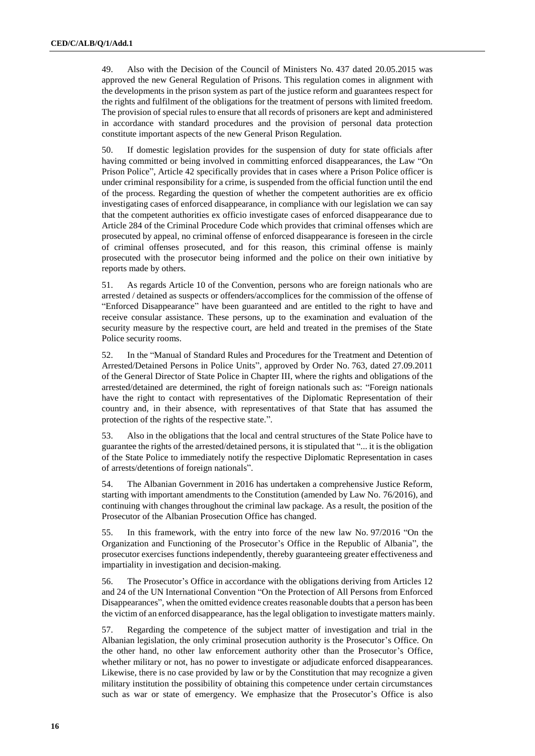49. Also with the Decision of the Council of Ministers No. 437 dated 20.05.2015 was approved the new General Regulation of Prisons. This regulation comes in alignment with the developments in the prison system as part of the justice reform and guarantees respect for the rights and fulfilment of the obligations for the treatment of persons with limited freedom. The provision of special rules to ensure that all records of prisoners are kept and administered in accordance with standard procedures and the provision of personal data protection constitute important aspects of the new General Prison Regulation.

50. If domestic legislation provides for the suspension of duty for state officials after having committed or being involved in committing enforced disappearances, the Law "On Prison Police", Article 42 specifically provides that in cases where a Prison Police officer is under criminal responsibility for a crime, is suspended from the official function until the end of the process. Regarding the question of whether the competent authorities are ex officio investigating cases of enforced disappearance, in compliance with our legislation we can say that the competent authorities ex officio investigate cases of enforced disappearance due to Article 284 of the Criminal Procedure Code which provides that criminal offenses which are prosecuted by appeal, no criminal offense of enforced disappearance is foreseen in the circle of criminal offenses prosecuted, and for this reason, this criminal offense is mainly prosecuted with the prosecutor being informed and the police on their own initiative by reports made by others.

51. As regards Article 10 of the Convention, persons who are foreign nationals who are arrested / detained as suspects or offenders/accomplices for the commission of the offense of "Enforced Disappearance" have been guaranteed and are entitled to the right to have and receive consular assistance. These persons, up to the examination and evaluation of the security measure by the respective court, are held and treated in the premises of the State Police security rooms.

52. In the "Manual of Standard Rules and Procedures for the Treatment and Detention of Arrested/Detained Persons in Police Units", approved by Order No. 763, dated 27.09.2011 of the General Director of State Police in Chapter III, where the rights and obligations of the arrested/detained are determined, the right of foreign nationals such as: "Foreign nationals have the right to contact with representatives of the Diplomatic Representation of their country and, in their absence, with representatives of that State that has assumed the protection of the rights of the respective state.".

53. Also in the obligations that the local and central structures of the State Police have to guarantee the rights of the arrested/detained persons, it is stipulated that "... it is the obligation of the State Police to immediately notify the respective Diplomatic Representation in cases of arrests/detentions of foreign nationals".

54. The Albanian Government in 2016 has undertaken a comprehensive Justice Reform, starting with important amendments to the Constitution (amended by Law No. 76/2016), and continuing with changes throughout the criminal law package. As a result, the position of the Prosecutor of the Albanian Prosecution Office has changed.

55. In this framework, with the entry into force of the new law No. 97/2016 "On the Organization and Functioning of the Prosecutor's Office in the Republic of Albania", the prosecutor exercises functions independently, thereby guaranteeing greater effectiveness and impartiality in investigation and decision-making.

56. The Prosecutor's Office in accordance with the obligations deriving from Articles 12 and 24 of the UN International Convention "On the Protection of All Persons from Enforced Disappearances", when the omitted evidence creates reasonable doubts that a person has been the victim of an enforced disappearance, has the legal obligation to investigate matters mainly.

57. Regarding the competence of the subject matter of investigation and trial in the Albanian legislation, the only criminal prosecution authority is the Prosecutor's Office. On the other hand, no other law enforcement authority other than the Prosecutor's Office, whether military or not, has no power to investigate or adjudicate enforced disappearances. Likewise, there is no case provided by law or by the Constitution that may recognize a given military institution the possibility of obtaining this competence under certain circumstances such as war or state of emergency. We emphasize that the Prosecutor's Office is also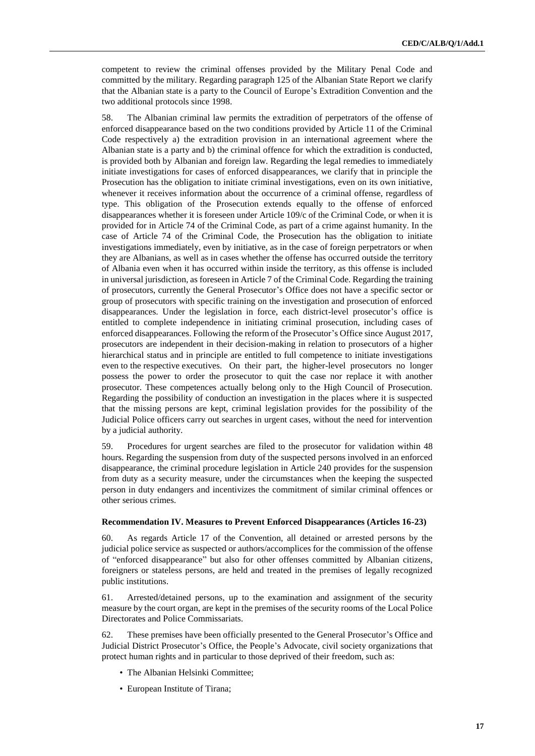competent to review the criminal offenses provided by the Military Penal Code and committed by the military. Regarding paragraph 125 of the Albanian State Report we clarify that the Albanian state is a party to the Council of Europe's Extradition Convention and the two additional protocols since 1998.

58. The Albanian criminal law permits the extradition of perpetrators of the offense of enforced disappearance based on the two conditions provided by Article 11 of the Criminal Code respectively a) the extradition provision in an international agreement where the Albanian state is a party and b) the criminal offence for which the extradition is conducted, is provided both by Albanian and foreign law. Regarding the legal remedies to immediately initiate investigations for cases of enforced disappearances, we clarify that in principle the Prosecution has the obligation to initiate criminal investigations, even on its own initiative, whenever it receives information about the occurrence of a criminal offense, regardless of type. This obligation of the Prosecution extends equally to the offense of enforced disappearances whether it is foreseen under Article 109/c of the Criminal Code, or when it is provided for in Article 74 of the Criminal Code, as part of a crime against humanity. In the case of Article 74 of the Criminal Code, the Prosecution has the obligation to initiate investigations immediately, even by initiative, as in the case of foreign perpetrators or when they are Albanians, as well as in cases whether the offense has occurred outside the territory of Albania even when it has occurred within inside the territory, as this offense is included in universal jurisdiction, as foreseen in Article 7 of the Criminal Code. Regarding the training of prosecutors, currently the General Prosecutor's Office does not have a specific sector or group of prosecutors with specific training on the investigation and prosecution of enforced disappearances. Under the legislation in force, each district-level prosecutor's office is entitled to complete independence in initiating criminal prosecution, including cases of enforced disappearances. Following the reform of the Prosecutor's Office since August 2017, prosecutors are independent in their decision-making in relation to prosecutors of a higher hierarchical status and in principle are entitled to full competence to initiate investigations even to the respective executives. On their part, the higher-level prosecutors no longer possess the power to order the prosecutor to quit the case nor replace it with another prosecutor. These competences actually belong only to the High Council of Prosecution. Regarding the possibility of conduction an investigation in the places where it is suspected that the missing persons are kept, criminal legislation provides for the possibility of the Judicial Police officers carry out searches in urgent cases, without the need for intervention by a judicial authority.

59. Procedures for urgent searches are filed to the prosecutor for validation within 48 hours. Regarding the suspension from duty of the suspected persons involved in an enforced disappearance, the criminal procedure legislation in Article 240 provides for the suspension from duty as a security measure, under the circumstances when the keeping the suspected person in duty endangers and incentivizes the commitment of similar criminal offences or other serious crimes.

#### **Recommendation IV. Measures to Prevent Enforced Disappearances (Articles 16-23)**

60. As regards Article 17 of the Convention, all detained or arrested persons by the judicial police service as suspected or authors/accomplices for the commission of the offense of "enforced disappearance" but also for other offenses committed by Albanian citizens, foreigners or stateless persons, are held and treated in the premises of legally recognized public institutions.

61. Arrested/detained persons, up to the examination and assignment of the security measure by the court organ, are kept in the premises of the security rooms of the Local Police Directorates and Police Commissariats.

62. These premises have been officially presented to the General Prosecutor's Office and Judicial District Prosecutor's Office, the People's Advocate, civil society organizations that protect human rights and in particular to those deprived of their freedom, such as:

- The Albanian Helsinki Committee;
- European Institute of Tirana;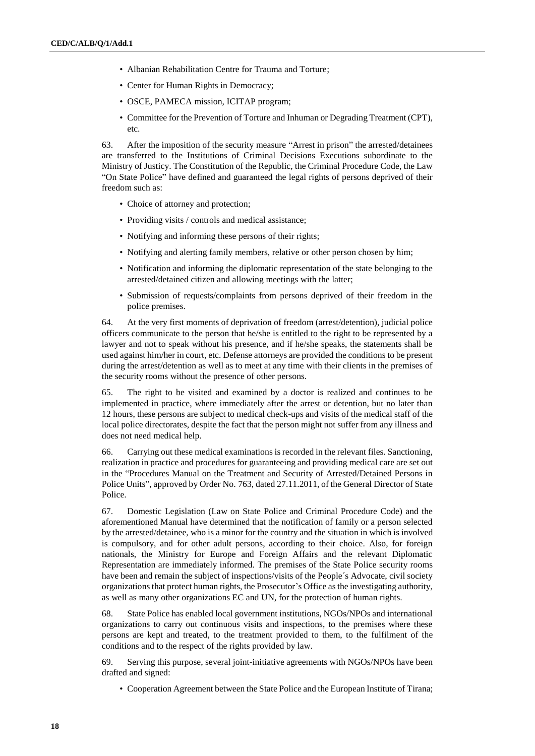- Albanian Rehabilitation Centre for Trauma and Torture;
- Center for Human Rights in Democracy;
- OSCE, PAMECA mission, ICITAP program;
- Committee for the Prevention of Torture and Inhuman or Degrading Treatment (CPT), etc.

63. After the imposition of the security measure "Arrest in prison" the arrested/detainees are transferred to the Institutions of Criminal Decisions Executions subordinate to the Ministry of Justicy. The Constitution of the Republic, the Criminal Procedure Code, the Law "On State Police" have defined and guaranteed the legal rights of persons deprived of their freedom such as:

- Choice of attorney and protection;
- Providing visits / controls and medical assistance;
- Notifying and informing these persons of their rights;
- Notifying and alerting family members, relative or other person chosen by him;
- Notification and informing the diplomatic representation of the state belonging to the arrested/detained citizen and allowing meetings with the latter;
- Submission of requests/complaints from persons deprived of their freedom in the police premises.

64. At the very first moments of deprivation of freedom (arrest/detention), judicial police officers communicate to the person that he/she is entitled to the right to be represented by a lawyer and not to speak without his presence, and if he/she speaks, the statements shall be used against him/her in court, etc. Defense attorneys are provided the conditions to be present during the arrest/detention as well as to meet at any time with their clients in the premises of the security rooms without the presence of other persons.

65. The right to be visited and examined by a doctor is realized and continues to be implemented in practice, where immediately after the arrest or detention, but no later than 12 hours, these persons are subject to medical check-ups and visits of the medical staff of the local police directorates, despite the fact that the person might not suffer from any illness and does not need medical help.

66. Carrying out these medical examinations is recorded in the relevant files. Sanctioning, realization in practice and procedures for guaranteeing and providing medical care are set out in the "Procedures Manual on the Treatment and Security of Arrested/Detained Persons in Police Units", approved by Order No. 763, dated 27.11.2011, of the General Director of State Police.

67. Domestic Legislation (Law on State Police and Criminal Procedure Code) and the aforementioned Manual have determined that the notification of family or a person selected by the arrested/detainee, who is a minor for the country and the situation in which is involved is compulsory, and for other adult persons, according to their choice. Also, for foreign nationals, the Ministry for Europe and Foreign Affairs and the relevant Diplomatic Representation are immediately informed. The premises of the State Police security rooms have been and remain the subject of inspections/visits of the People´s Advocate, civil society organizations that protect human rights, the Prosecutor's Office as the investigating authority, as well as many other organizations EC and UN, for the protection of human rights.

68. State Police has enabled local government institutions, NGOs/NPOs and international organizations to carry out continuous visits and inspections, to the premises where these persons are kept and treated, to the treatment provided to them, to the fulfilment of the conditions and to the respect of the rights provided by law.

69. Serving this purpose, several joint-initiative agreements with NGOs/NPOs have been drafted and signed:

• Cooperation Agreement between the State Police and the European Institute of Tirana;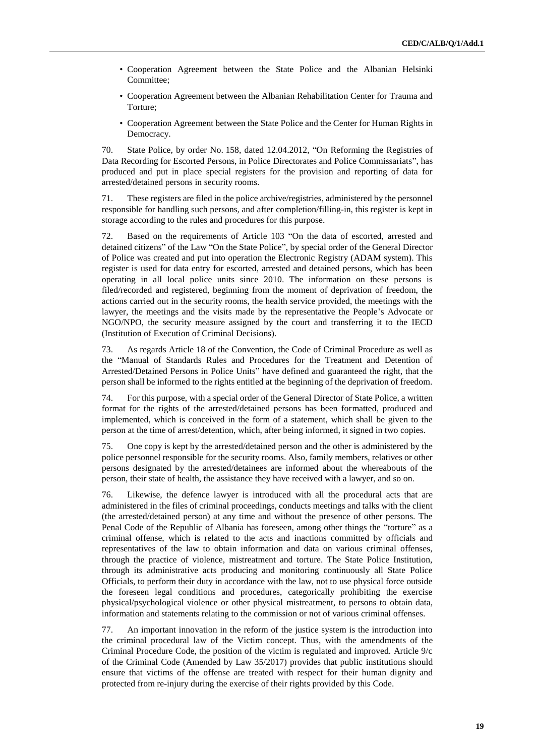- Cooperation Agreement between the State Police and the Albanian Helsinki Committee;
- Cooperation Agreement between the Albanian Rehabilitation Center for Trauma and Torture;
- Cooperation Agreement between the State Police and the Center for Human Rights in Democracy.

70. State Police, by order No. 158, dated 12.04.2012, "On Reforming the Registries of Data Recording for Escorted Persons, in Police Directorates and Police Commissariats", has produced and put in place special registers for the provision and reporting of data for arrested/detained persons in security rooms.

71. These registers are filed in the police archive/registries, administered by the personnel responsible for handling such persons, and after completion/filling-in, this register is kept in storage according to the rules and procedures for this purpose.

72. Based on the requirements of Article 103 "On the data of escorted, arrested and detained citizens" of the Law "On the State Police", by special order of the General Director of Police was created and put into operation the Electronic Registry (ADAM system). This register is used for data entry for escorted, arrested and detained persons, which has been operating in all local police units since 2010. The information on these persons is filed/recorded and registered, beginning from the moment of deprivation of freedom, the actions carried out in the security rooms, the health service provided, the meetings with the lawyer, the meetings and the visits made by the representative the People's Advocate or NGO/NPO, the security measure assigned by the court and transferring it to the IECD (Institution of Execution of Criminal Decisions).

73. As regards Article 18 of the Convention, the Code of Criminal Procedure as well as the "Manual of Standards Rules and Procedures for the Treatment and Detention of Arrested/Detained Persons in Police Units" have defined and guaranteed the right, that the person shall be informed to the rights entitled at the beginning of the deprivation of freedom.

74. For this purpose, with a special order of the General Director of State Police, a written format for the rights of the arrested/detained persons has been formatted, produced and implemented, which is conceived in the form of a statement, which shall be given to the person at the time of arrest/detention, which, after being informed, it signed in two copies.

75. One copy is kept by the arrested/detained person and the other is administered by the police personnel responsible for the security rooms. Also, family members, relatives or other persons designated by the arrested/detainees are informed about the whereabouts of the person, their state of health, the assistance they have received with a lawyer, and so on.

76. Likewise, the defence lawyer is introduced with all the procedural acts that are administered in the files of criminal proceedings, conducts meetings and talks with the client (the arrested/detained person) at any time and without the presence of other persons. The Penal Code of the Republic of Albania has foreseen, among other things the "torture" as a criminal offense, which is related to the acts and inactions committed by officials and representatives of the law to obtain information and data on various criminal offenses, through the practice of violence, mistreatment and torture. The State Police Institution, through its administrative acts producing and monitoring continuously all State Police Officials, to perform their duty in accordance with the law, not to use physical force outside the foreseen legal conditions and procedures, categorically prohibiting the exercise physical/psychological violence or other physical mistreatment, to persons to obtain data, information and statements relating to the commission or not of various criminal offenses.

77. An important innovation in the reform of the justice system is the introduction into the criminal procedural law of the Victim concept. Thus, with the amendments of the Criminal Procedure Code, the position of the victim is regulated and improved. Article 9/c of the Criminal Code (Amended by Law 35/2017) provides that public institutions should ensure that victims of the offense are treated with respect for their human dignity and protected from re-injury during the exercise of their rights provided by this Code.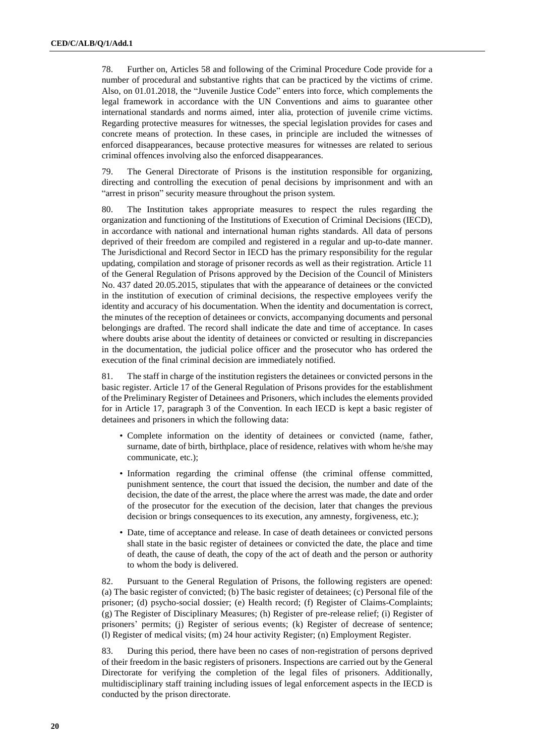78. Further on, Articles 58 and following of the Criminal Procedure Code provide for a number of procedural and substantive rights that can be practiced by the victims of crime. Also, on 01.01.2018, the "Juvenile Justice Code" enters into force, which complements the legal framework in accordance with the UN Conventions and aims to guarantee other international standards and norms aimed, inter alia, protection of juvenile crime victims. Regarding protective measures for witnesses, the special legislation provides for cases and concrete means of protection. In these cases, in principle are included the witnesses of enforced disappearances, because protective measures for witnesses are related to serious criminal offences involving also the enforced disappearances.

79. The General Directorate of Prisons is the institution responsible for organizing, directing and controlling the execution of penal decisions by imprisonment and with an "arrest in prison" security measure throughout the prison system.

80. The Institution takes appropriate measures to respect the rules regarding the organization and functioning of the Institutions of Execution of Criminal Decisions (IECD), in accordance with national and international human rights standards. All data of persons deprived of their freedom are compiled and registered in a regular and up-to-date manner. The Jurisdictional and Record Sector in IECD has the primary responsibility for the regular updating, compilation and storage of prisoner records as well as their registration. Article 11 of the General Regulation of Prisons approved by the Decision of the Council of Ministers No. 437 dated 20.05.2015, stipulates that with the appearance of detainees or the convicted in the institution of execution of criminal decisions, the respective employees verify the identity and accuracy of his documentation. When the identity and documentation is correct, the minutes of the reception of detainees or convicts, accompanying documents and personal belongings are drafted. The record shall indicate the date and time of acceptance. In cases where doubts arise about the identity of detainees or convicted or resulting in discrepancies in the documentation, the judicial police officer and the prosecutor who has ordered the execution of the final criminal decision are immediately notified.

81. The staff in charge of the institution registers the detainees or convicted persons in the basic register. Article 17 of the General Regulation of Prisons provides for the establishment of the Preliminary Register of Detainees and Prisoners, which includes the elements provided for in Article 17, paragraph 3 of the Convention. In each IECD is kept a basic register of detainees and prisoners in which the following data:

- Complete information on the identity of detainees or convicted (name, father, surname, date of birth, birthplace, place of residence, relatives with whom he/she may communicate, etc.);
- Information regarding the criminal offense (the criminal offense committed, punishment sentence, the court that issued the decision, the number and date of the decision, the date of the arrest, the place where the arrest was made, the date and order of the prosecutor for the execution of the decision, later that changes the previous decision or brings consequences to its execution, any amnesty, forgiveness, etc.);
- Date, time of acceptance and release. In case of death detainees or convicted persons shall state in the basic register of detainees or convicted the date, the place and time of death, the cause of death, the copy of the act of death and the person or authority to whom the body is delivered.

82. Pursuant to the General Regulation of Prisons, the following registers are opened: (a) The basic register of convicted; (b) The basic register of detainees; (c) Personal file of the prisoner; (d) psycho-social dossier; (e) Health record; (f) Register of Claims-Complaints; (g) The Register of Disciplinary Measures; (h) Register of pre-release relief; (i) Register of prisoners' permits; (j) Register of serious events; (k) Register of decrease of sentence; (l) Register of medical visits; (m) 24 hour activity Register; (n) Employment Register.

83. During this period, there have been no cases of non-registration of persons deprived of their freedom in the basic registers of prisoners. Inspections are carried out by the General Directorate for verifying the completion of the legal files of prisoners. Additionally, multidisciplinary staff training including issues of legal enforcement aspects in the IECD is conducted by the prison directorate.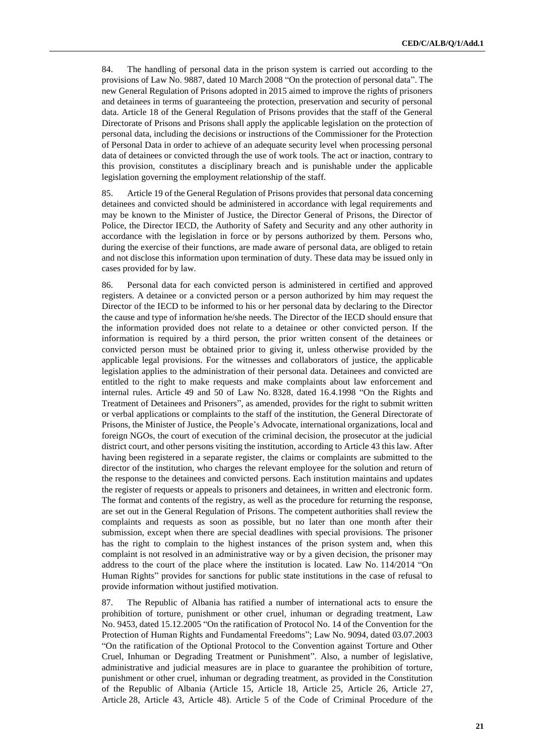84. The handling of personal data in the prison system is carried out according to the provisions of Law No. 9887, dated 10 March 2008 "On the protection of personal data". The new General Regulation of Prisons adopted in 2015 aimed to improve the rights of prisoners and detainees in terms of guaranteeing the protection, preservation and security of personal data. Article 18 of the General Regulation of Prisons provides that the staff of the General Directorate of Prisons and Prisons shall apply the applicable legislation on the protection of personal data, including the decisions or instructions of the Commissioner for the Protection of Personal Data in order to achieve of an adequate security level when processing personal data of detainees or convicted through the use of work tools. The act or inaction, contrary to this provision, constitutes a disciplinary breach and is punishable under the applicable legislation governing the employment relationship of the staff.

85. Article 19 of the General Regulation of Prisons provides that personal data concerning detainees and convicted should be administered in accordance with legal requirements and may be known to the Minister of Justice, the Director General of Prisons, the Director of Police, the Director IECD, the Authority of Safety and Security and any other authority in accordance with the legislation in force or by persons authorized by them. Persons who, during the exercise of their functions, are made aware of personal data, are obliged to retain and not disclose this information upon termination of duty. These data may be issued only in cases provided for by law.

86. Personal data for each convicted person is administered in certified and approved registers. A detainee or a convicted person or a person authorized by him may request the Director of the IECD to be informed to his or her personal data by declaring to the Director the cause and type of information he/she needs. The Director of the IECD should ensure that the information provided does not relate to a detainee or other convicted person. If the information is required by a third person, the prior written consent of the detainees or convicted person must be obtained prior to giving it, unless otherwise provided by the applicable legal provisions. For the witnesses and collaborators of justice, the applicable legislation applies to the administration of their personal data. Detainees and convicted are entitled to the right to make requests and make complaints about law enforcement and internal rules. Article 49 and 50 of Law No. 8328, dated 16.4.1998 "On the Rights and Treatment of Detainees and Prisoners", as amended, provides for the right to submit written or verbal applications or complaints to the staff of the institution, the General Directorate of Prisons, the Minister of Justice, the People's Advocate, international organizations, local and foreign NGOs, the court of execution of the criminal decision, the prosecutor at the judicial district court, and other persons visiting the institution, according to Article 43 this law. After having been registered in a separate register, the claims or complaints are submitted to the director of the institution, who charges the relevant employee for the solution and return of the response to the detainees and convicted persons. Each institution maintains and updates the register of requests or appeals to prisoners and detainees, in written and electronic form. The format and contents of the registry, as well as the procedure for returning the response, are set out in the General Regulation of Prisons. The competent authorities shall review the complaints and requests as soon as possible, but no later than one month after their submission, except when there are special deadlines with special provisions. The prisoner has the right to complain to the highest instances of the prison system and, when this complaint is not resolved in an administrative way or by a given decision, the prisoner may address to the court of the place where the institution is located. Law No. 114/2014 "On Human Rights" provides for sanctions for public state institutions in the case of refusal to provide information without justified motivation.

87. The Republic of Albania has ratified a number of international acts to ensure the prohibition of torture, punishment or other cruel, inhuman or degrading treatment, Law No. 9453, dated 15.12.2005 "On the ratification of Protocol No. 14 of the Convention for the Protection of Human Rights and Fundamental Freedoms"; Law No. 9094, dated 03.07.2003 "On the ratification of the Optional Protocol to the Convention against Torture and Other Cruel, Inhuman or Degrading Treatment or Punishment". Also, a number of legislative, administrative and judicial measures are in place to guarantee the prohibition of torture, punishment or other cruel, inhuman or degrading treatment, as provided in the Constitution of the Republic of Albania (Article 15, Article 18, Article 25, Article 26, Article 27, Article 28, Article 43, Article 48). Article 5 of the Code of Criminal Procedure of the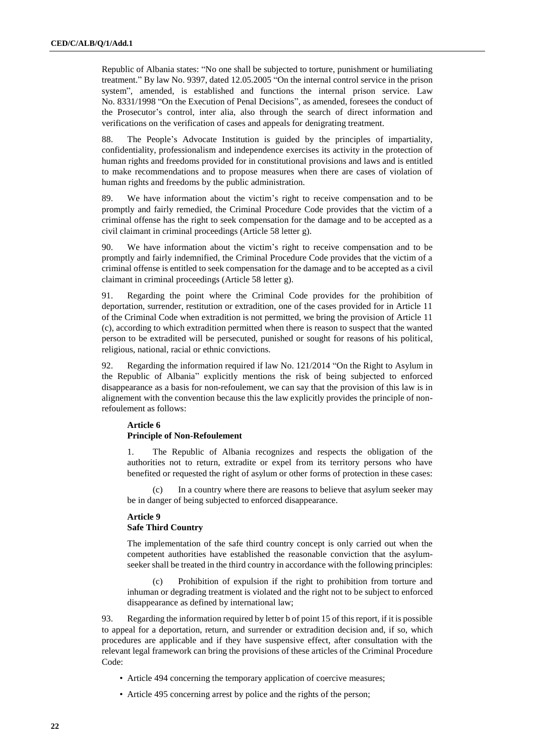Republic of Albania states: "No one shall be subjected to torture, punishment or humiliating treatment." By law No. 9397, dated 12.05.2005 "On the internal control service in the prison system", amended, is established and functions the internal prison service. Law No. 8331/1998 "On the Execution of Penal Decisions", as amended, foresees the conduct of the Prosecutor's control, inter alia, also through the search of direct information and verifications on the verification of cases and appeals for denigrating treatment.

88. The People's Advocate Institution is guided by the principles of impartiality, confidentiality, professionalism and independence exercises its activity in the protection of human rights and freedoms provided for in constitutional provisions and laws and is entitled to make recommendations and to propose measures when there are cases of violation of human rights and freedoms by the public administration.

89. We have information about the victim's right to receive compensation and to be promptly and fairly remedied, the Criminal Procedure Code provides that the victim of a criminal offense has the right to seek compensation for the damage and to be accepted as a civil claimant in criminal proceedings (Article 58 letter g).

90. We have information about the victim's right to receive compensation and to be promptly and fairly indemnified, the Criminal Procedure Code provides that the victim of a criminal offense is entitled to seek compensation for the damage and to be accepted as a civil claimant in criminal proceedings (Article 58 letter g).

91. Regarding the point where the Criminal Code provides for the prohibition of deportation, surrender, restitution or extradition, one of the cases provided for in Article 11 of the Criminal Code when extradition is not permitted, we bring the provision of Article 11 (c), according to which extradition permitted when there is reason to suspect that the wanted person to be extradited will be persecuted, punished or sought for reasons of his political, religious, national, racial or ethnic convictions.

92. Regarding the information required if law No. 121/2014 "On the Right to Asylum in the Republic of Albania" explicitly mentions the risk of being subjected to enforced disappearance as a basis for non-refoulement, we can say that the provision of this law is in alignement with the convention because this the law explicitly provides the principle of nonrefoulement as follows:

### **Article 6 Principle of Non-Refoulement**

1. The Republic of Albania recognizes and respects the obligation of the authorities not to return, extradite or expel from its territory persons who have benefited or requested the right of asylum or other forms of protection in these cases:

(c) In a country where there are reasons to believe that asylum seeker may be in danger of being subjected to enforced disappearance.

## **Article 9 Safe Third Country**

The implementation of the safe third country concept is only carried out when the competent authorities have established the reasonable conviction that the asylumseeker shall be treated in the third country in accordance with the following principles:

Prohibition of expulsion if the right to prohibition from torture and inhuman or degrading treatment is violated and the right not to be subject to enforced disappearance as defined by international law;

93. Regarding the information required by letter b of point 15 of this report, if it is possible to appeal for a deportation, return, and surrender or extradition decision and, if so, which procedures are applicable and if they have suspensive effect, after consultation with the relevant legal framework can bring the provisions of these articles of the Criminal Procedure Code:

- Article 494 concerning the temporary application of coercive measures;
- Article 495 concerning arrest by police and the rights of the person;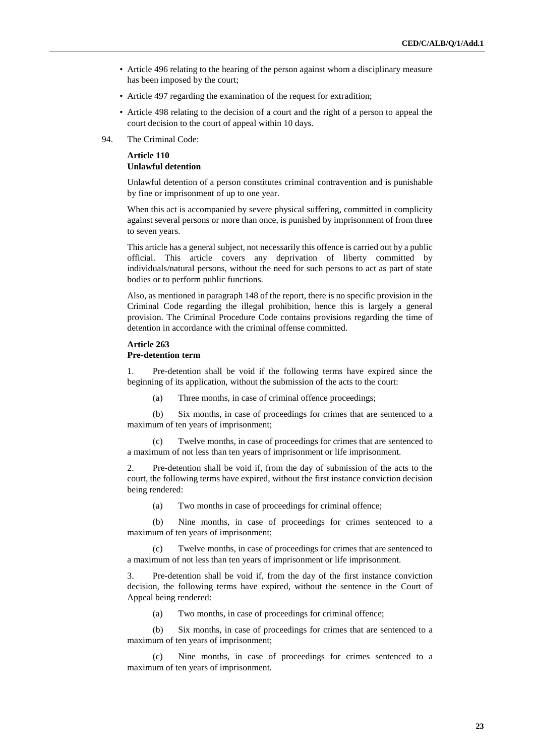- Article 496 relating to the hearing of the person against whom a disciplinary measure has been imposed by the court;
- Article 497 regarding the examination of the request for extradition;
- Article 498 relating to the decision of a court and the right of a person to appeal the court decision to the court of appeal within 10 days.
- 94. The Criminal Code:

## **Article 110 Unlawful detention**

Unlawful detention of a person constitutes criminal contravention and is punishable by fine or imprisonment of up to one year.

When this act is accompanied by severe physical suffering, committed in complicity against several persons or more than once, is punished by imprisonment of from three to seven years.

This article has a general subject, not necessarily this offence is carried out by a public official. This article covers any deprivation of liberty committed by individuals/natural persons, without the need for such persons to act as part of state bodies or to perform public functions.

Also, as mentioned in paragraph 148 of the report, there is no specific provision in the Criminal Code regarding the illegal prohibition, hence this is largely a general provision. The Criminal Procedure Code contains provisions regarding the time of detention in accordance with the criminal offense committed.

#### **Article 263 Pre-detention term**

1. Pre-detention shall be void if the following terms have expired since the beginning of its application, without the submission of the acts to the court:

(a) Three months, in case of criminal offence proceedings;

(b) Six months, in case of proceedings for crimes that are sentenced to a maximum of ten years of imprisonment;

(c) Twelve months, in case of proceedings for crimes that are sentenced to a maximum of not less than ten years of imprisonment or life imprisonment.

Pre-detention shall be void if, from the day of submission of the acts to the court, the following terms have expired, without the first instance conviction decision being rendered:

(a) Two months in case of proceedings for criminal offence;

(b) Nine months, in case of proceedings for crimes sentenced to a maximum of ten years of imprisonment;

(c) Twelve months, in case of proceedings for crimes that are sentenced to a maximum of not less than ten years of imprisonment or life imprisonment.

3. Pre-detention shall be void if, from the day of the first instance conviction decision, the following terms have expired, without the sentence in the Court of Appeal being rendered:

(a) Two months, in case of proceedings for criminal offence;

(b) Six months, in case of proceedings for crimes that are sentenced to a maximum of ten years of imprisonment;

(c) Nine months, in case of proceedings for crimes sentenced to a maximum of ten years of imprisonment.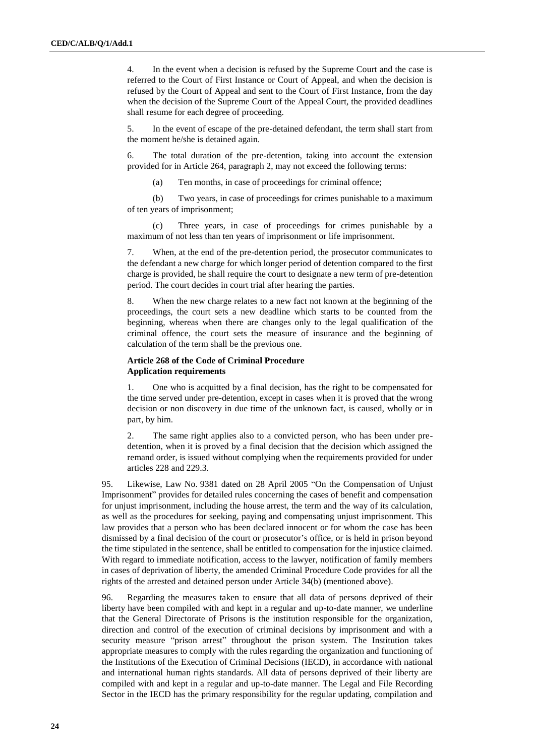4. In the event when a decision is refused by the Supreme Court and the case is referred to the Court of First Instance or Court of Appeal, and when the decision is refused by the Court of Appeal and sent to the Court of First Instance, from the day when the decision of the Supreme Court of the Appeal Court, the provided deadlines shall resume for each degree of proceeding.

5. In the event of escape of the pre-detained defendant, the term shall start from the moment he/she is detained again.

6. The total duration of the pre-detention, taking into account the extension provided for in Article 264, paragraph 2, may not exceed the following terms:

(a) Ten months, in case of proceedings for criminal offence;

(b) Two years, in case of proceedings for crimes punishable to a maximum of ten years of imprisonment;

(c) Three years, in case of proceedings for crimes punishable by a maximum of not less than ten years of imprisonment or life imprisonment.

7. When, at the end of the pre-detention period, the prosecutor communicates to the defendant a new charge for which longer period of detention compared to the first charge is provided, he shall require the court to designate a new term of pre-detention period. The court decides in court trial after hearing the parties.

8. When the new charge relates to a new fact not known at the beginning of the proceedings, the court sets a new deadline which starts to be counted from the beginning, whereas when there are changes only to the legal qualification of the criminal offence, the court sets the measure of insurance and the beginning of calculation of the term shall be the previous one.

### **Article 268 of the Code of Criminal Procedure Application requirements**

1. One who is acquitted by a final decision, has the right to be compensated for the time served under pre-detention, except in cases when it is proved that the wrong decision or non discovery in due time of the unknown fact, is caused, wholly or in part, by him.

2. The same right applies also to a convicted person, who has been under predetention, when it is proved by a final decision that the decision which assigned the remand order, is issued without complying when the requirements provided for under articles 228 and 229.3.

95. Likewise, Law No. 9381 dated on 28 April 2005 "On the Compensation of Unjust Imprisonment" provides for detailed rules concerning the cases of benefit and compensation for unjust imprisonment, including the house arrest, the term and the way of its calculation, as well as the procedures for seeking, paying and compensating unjust imprisonment. This law provides that a person who has been declared innocent or for whom the case has been dismissed by a final decision of the court or prosecutor's office, or is held in prison beyond the time stipulated in the sentence, shall be entitled to compensation for the injustice claimed. With regard to immediate notification, access to the lawyer, notification of family members in cases of deprivation of liberty, the amended Criminal Procedure Code provides for all the rights of the arrested and detained person under Article 34(b) (mentioned above).

96. Regarding the measures taken to ensure that all data of persons deprived of their liberty have been compiled with and kept in a regular and up-to-date manner, we underline that the General Directorate of Prisons is the institution responsible for the organization, direction and control of the execution of criminal decisions by imprisonment and with a security measure "prison arrest" throughout the prison system. The Institution takes appropriate measures to comply with the rules regarding the organization and functioning of the Institutions of the Execution of Criminal Decisions (IECD), in accordance with national and international human rights standards. All data of persons deprived of their liberty are compiled with and kept in a regular and up-to-date manner. The Legal and File Recording Sector in the IECD has the primary responsibility for the regular updating, compilation and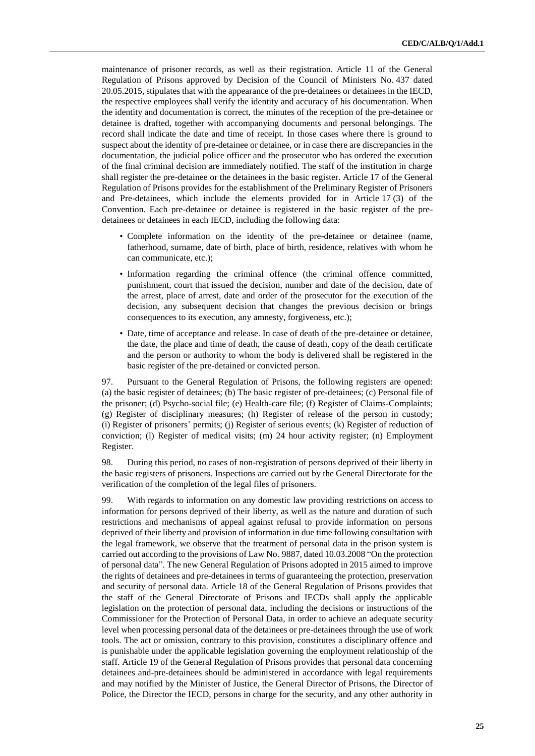maintenance of prisoner records, as well as their registration. Article 11 of the General Regulation of Prisons approved by Decision of the Council of Ministers No. 437 dated 20.05.2015, stipulates that with the appearance of the pre-detainees or detainees in the IECD, the respective employees shall verify the identity and accuracy of his documentation. When the identity and documentation is correct, the minutes of the reception of the pre-detainee or detainee is drafted, together with accompanying documents and personal belongings. The record shall indicate the date and time of receipt. In those cases where there is ground to suspect about the identity of pre-detainee or detainee, or in case there are discrepancies in the documentation, the judicial police officer and the prosecutor who has ordered the execution of the final criminal decision are immediately notified. The staff of the institution in charge shall register the pre-detainee or the detainees in the basic register. Article 17 of the General Regulation of Prisons provides for the establishment of the Preliminary Register of Prisoners and Pre-detainees, which include the elements provided for in Article 17 (3) of the Convention. Each pre-detainee or detainee is registered in the basic register of the predetainees or detainees in each IECD, including the following data:

- Complete information on the identity of the pre-detainee or detainee (name, fatherhood, surname, date of birth, place of birth, residence, relatives with whom he can communicate, etc.);
- Information regarding the criminal offence (the criminal offence committed, punishment, court that issued the decision, number and date of the decision, date of the arrest, place of arrest, date and order of the prosecutor for the execution of the decision, any subsequent decision that changes the previous decision or brings consequences to its execution, any amnesty, forgiveness, etc.);
- Date, time of acceptance and release. In case of death of the pre-detainee or detainee, the date, the place and time of death, the cause of death, copy of the death certificate and the person or authority to whom the body is delivered shall be registered in the basic register of the pre-detained or convicted person.

97. Pursuant to the General Regulation of Prisons, the following registers are opened: (a) the basic register of detainees; (b) The basic register of pre-detainees; (c) Personal file of the prisoner; (d) Psycho-social file; (e) Health-care file; (f) Register of Claims-Complaints; (g) Register of disciplinary measures; (h) Register of release of the person in custody; (i) Register of prisoners' permits; (j) Register of serious events; (k) Register of reduction of conviction; (l) Register of medical visits; (m) 24 hour activity register; (n) Employment Register.

98. During this period, no cases of non-registration of persons deprived of their liberty in the basic registers of prisoners. Inspections are carried out by the General Directorate for the verification of the completion of the legal files of prisoners.

99. With regards to information on any domestic law providing restrictions on access to information for persons deprived of their liberty, as well as the nature and duration of such restrictions and mechanisms of appeal against refusal to provide information on persons deprived of their liberty and provision of information in due time following consultation with the legal framework, we observe that the treatment of personal data in the prison system is carried out according to the provisions of Law No. 9887, dated 10.03.2008 "On the protection of personal data". The new General Regulation of Prisons adopted in 2015 aimed to improve the rights of detainees and pre-detainees in terms of guaranteeing the protection, preservation and security of personal data. Article 18 of the General Regulation of Prisons provides that the staff of the General Directorate of Prisons and IECDs shall apply the applicable legislation on the protection of personal data, including the decisions or instructions of the Commissioner for the Protection of Personal Data, in order to achieve an adequate security level when processing personal data of the detainees or pre-detainees through the use of work tools. The act or omission, contrary to this provision, constitutes a disciplinary offence and is punishable under the applicable legislation governing the employment relationship of the staff. Article 19 of the General Regulation of Prisons provides that personal data concerning detainees and-pre-detainees should be administered in accordance with legal requirements and may notified by the Minister of Justice, the General Director of Prisons, the Director of Police, the Director the IECD, persons in charge for the security, and any other authority in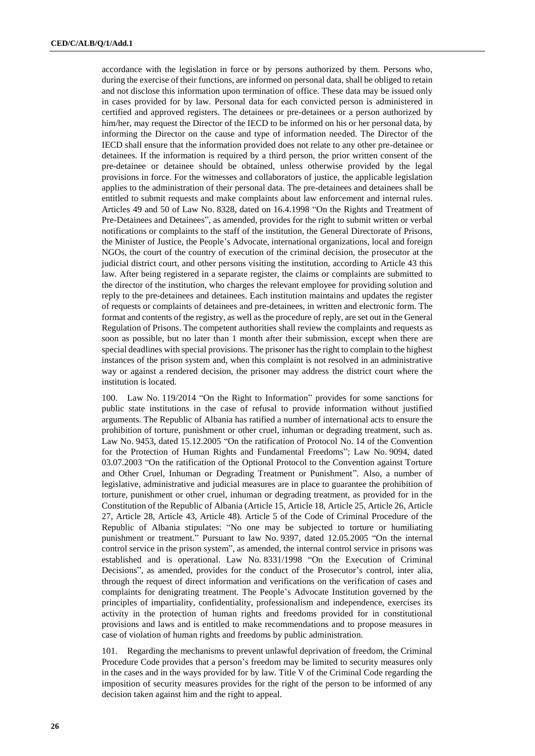accordance with the legislation in force or by persons authorized by them. Persons who, during the exercise of their functions, are informed on personal data, shall be obliged to retain and not disclose this information upon termination of office. These data may be issued only in cases provided for by law. Personal data for each convicted person is administered in certified and approved registers. The detainees or pre-detainees or a person authorized by him/her, may request the Director of the IECD to be informed on his or her personal data, by informing the Director on the cause and type of information needed. The Director of the IECD shall ensure that the information provided does not relate to any other pre-detainee or detainees. If the information is required by a third person, the prior written consent of the pre-detainee or detainee should be obtained, unless otherwise provided by the legal provisions in force. For the witnesses and collaborators of justice, the applicable legislation applies to the administration of their personal data. The pre-detainees and detainees shall be entitled to submit requests and make complaints about law enforcement and internal rules. Articles 49 and 50 of Law No. 8328, dated on 16.4.1998 "On the Rights and Treatment of Pre-Detainees and Detainees", as amended, provides for the right to submit written or verbal notifications or complaints to the staff of the institution, the General Directorate of Prisons, the Minister of Justice, the People's Advocate, international organizations, local and foreign NGOs, the court of the country of execution of the criminal decision, the prosecutor at the judicial district court, and other persons visiting the institution, according to Article 43 this law. After being registered in a separate register, the claims or complaints are submitted to the director of the institution, who charges the relevant employee for providing solution and reply to the pre-detainees and detainees. Each institution maintains and updates the register of requests or complaints of detainees and pre-detainees, in written and electronic form. The format and contents of the registry, as well as the procedure of reply, are set out in the General Regulation of Prisons. The competent authorities shall review the complaints and requests as soon as possible, but no later than 1 month after their submission, except when there are special deadlines with special provisions. The prisoner has the right to complain to the highest instances of the prison system and, when this complaint is not resolved in an administrative way or against a rendered decision, the prisoner may address the district court where the institution is located.

100. Law No. 119/2014 "On the Right to Information" provides for some sanctions for public state institutions in the case of refusal to provide information without justified arguments. The Republic of Albania has ratified a number of international acts to ensure the prohibition of torture, punishment or other cruel, inhuman or degrading treatment, such as. Law No. 9453, dated 15.12.2005 "On the ratification of Protocol No. 14 of the Convention for the Protection of Human Rights and Fundamental Freedoms"; Law No. 9094, dated 03.07.2003 "On the ratification of the Optional Protocol to the Convention against Torture and Other Cruel, Inhuman or Degrading Treatment or Punishment". Also, a number of legislative, administrative and judicial measures are in place to guarantee the prohibition of torture, punishment or other cruel, inhuman or degrading treatment, as provided for in the Constitution of the Republic of Albania (Article 15, Article 18, Article 25, Article 26, Article 27, Article 28, Article 43, Article 48). Article 5 of the Code of Criminal Procedure of the Republic of Albania stipulates: "No one may be subjected to torture or humiliating punishment or treatment." Pursuant to law No. 9397, dated 12.05.2005 "On the internal control service in the prison system", as amended, the internal control service in prisons was established and is operational. Law No. 8331/1998 "On the Execution of Criminal Decisions", as amended, provides for the conduct of the Prosecutor's control, inter alia, through the request of direct information and verifications on the verification of cases and complaints for denigrating treatment. The People's Advocate Institution governed by the principles of impartiality, confidentiality, professionalism and independence, exercises its activity in the protection of human rights and freedoms provided for in constitutional provisions and laws and is entitled to make recommendations and to propose measures in case of violation of human rights and freedoms by public administration.

101. Regarding the mechanisms to prevent unlawful deprivation of freedom, the Criminal Procedure Code provides that a person's freedom may be limited to security measures only in the cases and in the ways provided for by law. Title V of the Criminal Code regarding the imposition of security measures provides for the right of the person to be informed of any decision taken against him and the right to appeal.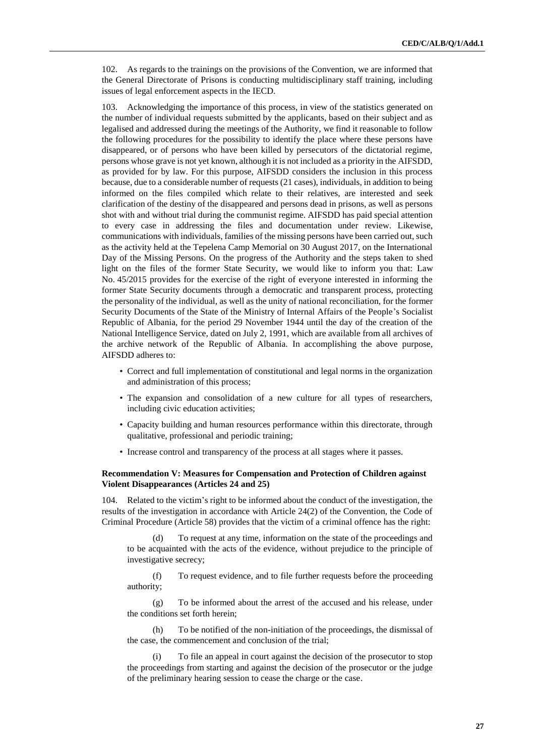102. As regards to the trainings on the provisions of the Convention, we are informed that the General Directorate of Prisons is conducting multidisciplinary staff training, including issues of legal enforcement aspects in the IECD.

103. Acknowledging the importance of this process, in view of the statistics generated on the number of individual requests submitted by the applicants, based on their subject and as legalised and addressed during the meetings of the Authority, we find it reasonable to follow the following procedures for the possibility to identify the place where these persons have disappeared, or of persons who have been killed by persecutors of the dictatorial regime, persons whose grave is not yet known, although it is not included as a priority in the AIFSDD, as provided for by law. For this purpose, AIFSDD considers the inclusion in this process because, due to a considerable number of requests (21 cases), individuals, in addition to being informed on the files compiled which relate to their relatives, are interested and seek clarification of the destiny of the disappeared and persons dead in prisons, as well as persons shot with and without trial during the communist regime. AIFSDD has paid special attention to every case in addressing the files and documentation under review. Likewise, communications with individuals, families of the missing persons have been carried out, such as the activity held at the Tepelena Camp Memorial on 30 August 2017, on the International Day of the Missing Persons. On the progress of the Authority and the steps taken to shed light on the files of the former State Security, we would like to inform you that: Law No. 45/2015 provides for the exercise of the right of everyone interested in informing the former State Security documents through a democratic and transparent process, protecting the personality of the individual, as well as the unity of national reconciliation, for the former Security Documents of the State of the Ministry of Internal Affairs of the People's Socialist Republic of Albania, for the period 29 November 1944 until the day of the creation of the National Intelligence Service, dated on July 2, 1991, which are available from all archives of the archive network of the Republic of Albania. In accomplishing the above purpose, AIFSDD adheres to:

- Correct and full implementation of constitutional and legal norms in the organization and administration of this process;
- The expansion and consolidation of a new culture for all types of researchers, including civic education activities;
- Capacity building and human resources performance within this directorate, through qualitative, professional and periodic training;
- Increase control and transparency of the process at all stages where it passes.

#### **Recommendation V: Measures for Compensation and Protection of Children against Violent Disappearances (Articles 24 and 25)**

104. Related to the victim's right to be informed about the conduct of the investigation, the results of the investigation in accordance with Article 24(2) of the Convention, the Code of Criminal Procedure (Article 58) provides that the victim of a criminal offence has the right:

(d) To request at any time, information on the state of the proceedings and to be acquainted with the acts of the evidence, without prejudice to the principle of investigative secrecy;

(f) To request evidence, and to file further requests before the proceeding authority;

(g) To be informed about the arrest of the accused and his release, under the conditions set forth herein;

(h) To be notified of the non-initiation of the proceedings, the dismissal of the case, the commencement and conclusion of the trial;

(i) To file an appeal in court against the decision of the prosecutor to stop the proceedings from starting and against the decision of the prosecutor or the judge of the preliminary hearing session to cease the charge or the case.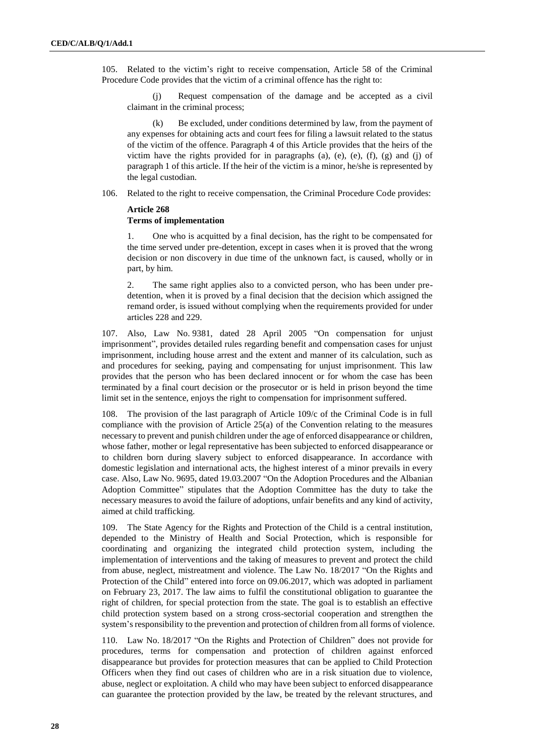105. Related to the victim's right to receive compensation, Article 58 of the Criminal Procedure Code provides that the victim of a criminal offence has the right to:

(j) Request compensation of the damage and be accepted as a civil claimant in the criminal process;

(k) Be excluded, under conditions determined by law, from the payment of any expenses for obtaining acts and court fees for filing a lawsuit related to the status of the victim of the offence. Paragraph 4 of this Article provides that the heirs of the victim have the rights provided for in paragraphs (a), (e), (e), (f), (g) and (j) of paragraph 1 of this article. If the heir of the victim is a minor, he/she is represented by the legal custodian.

106. Related to the right to receive compensation, the Criminal Procedure Code provides:

### **Article 268 Terms of implementation**

1. One who is acquitted by a final decision, has the right to be compensated for the time served under pre-detention, except in cases when it is proved that the wrong decision or non discovery in due time of the unknown fact, is caused, wholly or in part, by him.

2. The same right applies also to a convicted person, who has been under predetention, when it is proved by a final decision that the decision which assigned the remand order, is issued without complying when the requirements provided for under articles 228 and 229.

107. Also, Law No. 9381, dated 28 April 2005 "On compensation for unjust imprisonment", provides detailed rules regarding benefit and compensation cases for unjust imprisonment, including house arrest and the extent and manner of its calculation, such as and procedures for seeking, paying and compensating for unjust imprisonment. This law provides that the person who has been declared innocent or for whom the case has been terminated by a final court decision or the prosecutor or is held in prison beyond the time limit set in the sentence, enjoys the right to compensation for imprisonment suffered.

108. The provision of the last paragraph of Article 109/c of the Criminal Code is in full compliance with the provision of Article 25(a) of the Convention relating to the measures necessary to prevent and punish children under the age of enforced disappearance or children, whose father, mother or legal representative has been subjected to enforced disappearance or to children born during slavery subject to enforced disappearance. In accordance with domestic legislation and international acts, the highest interest of a minor prevails in every case. Also, Law No. 9695, dated 19.03.2007 "On the Adoption Procedures and the Albanian Adoption Committee" stipulates that the Adoption Committee has the duty to take the necessary measures to avoid the failure of adoptions, unfair benefits and any kind of activity, aimed at child trafficking.

109. The State Agency for the Rights and Protection of the Child is a central institution, depended to the Ministry of Health and Social Protection, which is responsible for coordinating and organizing the integrated child protection system, including the implementation of interventions and the taking of measures to prevent and protect the child from abuse, neglect, mistreatment and violence. The Law No. 18/2017 "On the Rights and Protection of the Child" entered into force on 09.06.2017, which was adopted in parliament on February 23, 2017. The law aims to fulfil the constitutional obligation to guarantee the right of children, for special protection from the state. The goal is to establish an effective child protection system based on a strong cross-sectorial cooperation and strengthen the system's responsibility to the prevention and protection of children from all forms of violence.

110. Law No. 18/2017 "On the Rights and Protection of Children" does not provide for procedures, terms for compensation and protection of children against enforced disappearance but provides for protection measures that can be applied to Child Protection Officers when they find out cases of children who are in a risk situation due to violence, abuse, neglect or exploitation. A child who may have been subject to enforced disappearance can guarantee the protection provided by the law, be treated by the relevant structures, and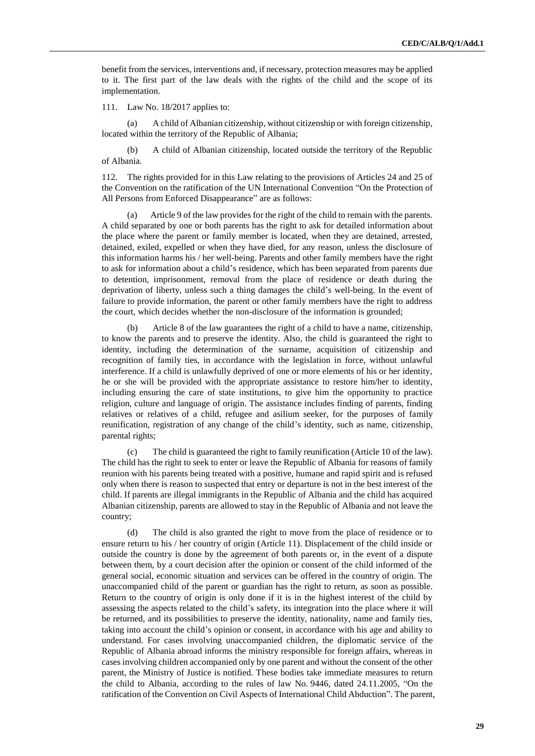benefit from the services, interventions and, if necessary, protection measures may be applied to it. The first part of the law deals with the rights of the child and the scope of its implementation.

111. Law No. 18/2017 applies to:

(a) A child of Albanian citizenship, without citizenship or with foreign citizenship, located within the territory of the Republic of Albania;

(b) A child of Albanian citizenship, located outside the territory of the Republic of Albania.

112. The rights provided for in this Law relating to the provisions of Articles 24 and 25 of the Convention on the ratification of the UN International Convention "On the Protection of All Persons from Enforced Disappearance" are as follows:

(a) Article 9 of the law provides for the right of the child to remain with the parents. A child separated by one or both parents has the right to ask for detailed information about the place where the parent or family member is located, when they are detained, arrested, detained, exiled, expelled or when they have died, for any reason, unless the disclosure of this information harms his / her well-being. Parents and other family members have the right to ask for information about a child's residence, which has been separated from parents due to detention, imprisonment, removal from the place of residence or death during the deprivation of liberty, unless such a thing damages the child's well-being. In the event of failure to provide information, the parent or other family members have the right to address the court, which decides whether the non-disclosure of the information is grounded;

(b) Article 8 of the law guarantees the right of a child to have a name, citizenship, to know the parents and to preserve the identity. Also, the child is guaranteed the right to identity, including the determination of the surname, acquisition of citizenship and recognition of family ties, in accordance with the legislation in force, without unlawful interference. If a child is unlawfully deprived of one or more elements of his or her identity, he or she will be provided with the appropriate assistance to restore him/her to identity, including ensuring the care of state institutions, to give him the opportunity to practice religion, culture and language of origin. The assistance includes finding of parents, finding relatives or relatives of a child, refugee and asilium seeker, for the purposes of family reunification, registration of any change of the child's identity, such as name, citizenship, parental rights;

(c) The child is guaranteed the right to family reunification (Article 10 of the law). The child has the right to seek to enter or leave the Republic of Albania for reasons of family reunion with his parents being treated with a positive, humane and rapid spirit and is refused only when there is reason to suspected that entry or departure is not in the best interest of the child. If parents are illegal immigrants in the Republic of Albania and the child has acquired Albanian citizenship, parents are allowed to stay in the Republic of Albania and not leave the country;

(d) The child is also granted the right to move from the place of residence or to ensure return to his / her country of origin (Article 11). Displacement of the child inside or outside the country is done by the agreement of both parents or, in the event of a dispute between them, by a court decision after the opinion or consent of the child informed of the general social, economic situation and services can be offered in the country of origin. The unaccompanied child of the parent or guardian has the right to return, as soon as possible. Return to the country of origin is only done if it is in the highest interest of the child by assessing the aspects related to the child's safety, its integration into the place where it will be returned, and its possibilities to preserve the identity, nationality, name and family ties, taking into account the child's opinion or consent, in accordance with his age and ability to understand. For cases involving unaccompanied children, the diplomatic service of the Republic of Albania abroad informs the ministry responsible for foreign affairs, whereas in cases involving children accompanied only by one parent and without the consent of the other parent, the Ministry of Justice is notified. These bodies take immediate measures to return the child to Albania, according to the rules of law No. 9446, dated 24.11.2005, "On the ratification of the Convention on Civil Aspects of International Child Abduction". The parent,